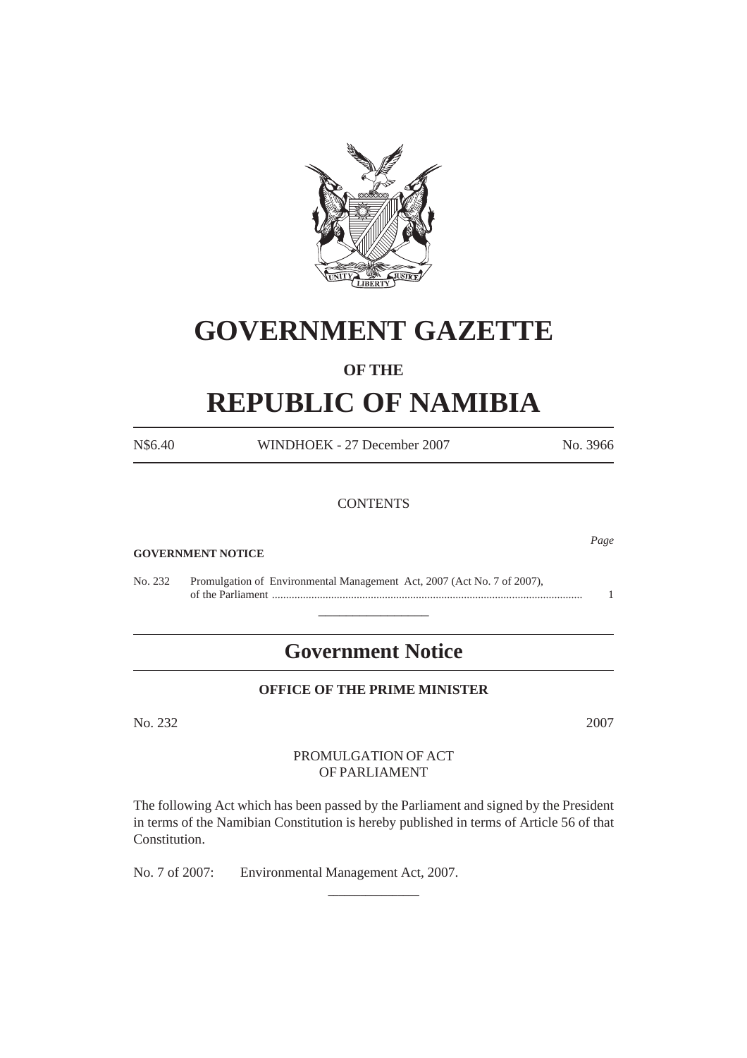

# **GOVERNMENT GAZETTE**

# **OF THE**

# **REPUBLIC OF NAMIBIA**

| N\$6.40 | WINDHOEK - 27 December 2007                                             | No. 3966 |
|---------|-------------------------------------------------------------------------|----------|
|         | <b>CONTENTS</b>                                                         |          |
|         |                                                                         |          |
|         | <b>GOVERNMENT NOTICE</b>                                                | Page     |
| No. 232 | Promulgation of Environmental Management Act, 2007 (Act No. 7 of 2007), | 1        |
|         | <b>Government Notice</b>                                                |          |

# **OFFICE OF THE PRIME MINISTER**

No. 232 2007

# PROMULGATION OF ACT OF PARLIAMENT

The following Act which has been passed by the Parliament and signed by the President in terms of the Namibian Constitution is hereby published in terms of Article 56 of that Constitution.

\_\_\_\_\_\_\_\_\_\_\_\_\_\_\_\_\_

No. 7 of 2007: Environmental Management Act, 2007.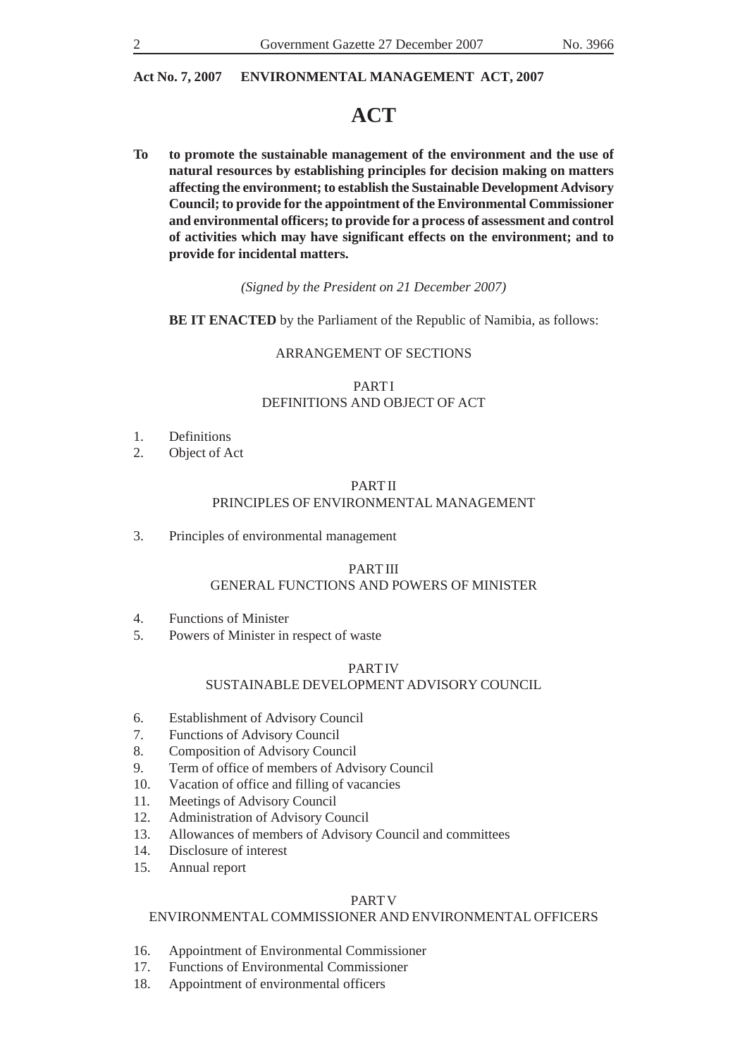# **ACT**

**To to promote the sustainable management of the environment and the use of natural resources by establishing principles for decision making on matters affecting the environment; to establish the Sustainable Development Advisory Council; to provide for the appointment of the Environmental Commissioner and environmental officers; to provide for a process of assessment and control of activities which may have significant effects on the environment; and to provide for incidental matters.**

*(Signed by the President on 21 December 2007)*

**BE IT ENACTED** by the Parliament of the Republic of Namibia, as follows:

# ARRANGEMENT OF SECTIONS

# PART I DEFINITIONS AND OBJECT OF ACT

- 1. Definitions
- 2. Object of Act

# PART II PRINCIPLES OF ENVIRONMENTAL MANAGEMENT

3. Principles of environmental management

# PART III

# GENERAL FUNCTIONS AND POWERS OF MINISTER

- 4. Functions of Minister
- 5. Powers of Minister in respect of waste

#### PART IV

# SUSTAINABLE DEVELOPMENT ADVISORY COUNCIL

- 6. Establishment of Advisory Council
- 7. Functions of Advisory Council
- 8. Composition of Advisory Council<br>9. Term of office of members of Adv
- Term of office of members of Advisory Council
- 10. Vacation of office and filling of vacancies
- 11. Meetings of Advisory Council
- 12. Administration of Advisory Council
- 13. Allowances of members of Advisory Council and committees
- 14. Disclosure of interest
- 15. Annual report

#### PART V

### ENVIRONMENTAL COMMISSIONER AND ENVIRONMENTAL OFFICERS

- 16. Appointment of Environmental Commissioner
- 17. Functions of Environmental Commissioner
- 18. Appointment of environmental officers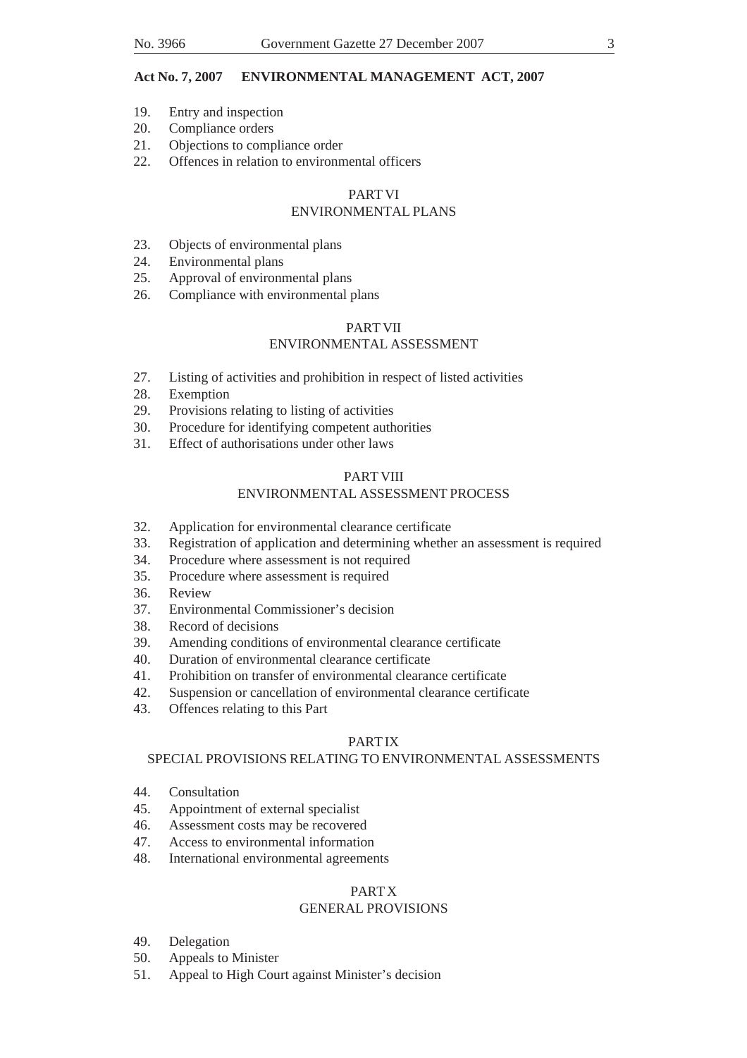- 19. Entry and inspection
- 20. Compliance orders
- 21. Objections to compliance order
- 22. Offences in relation to environmental officers

#### PART VI ENVIRONMENTAL PLANS

- 23. Objects of environmental plans
- 24. Environmental plans
- 25. Approval of environmental plans
- 26. Compliance with environmental plans

# PART VII ENVIRONMENTAL ASSESSMENT

- 27. Listing of activities and prohibition in respect of listed activities<br>28. Exemption
- Exemption
- 29. Provisions relating to listing of activities
- 30. Procedure for identifying competent authorities
- 31. Effect of authorisations under other laws

# PART VIII

# ENVIRONMENTAL ASSESSMENT PROCESS

- 32. Application for environmental clearance certificate
- 33. Registration of application and determining whether an assessment is required
- 34. Procedure where assessment is not required
- 35. Procedure where assessment is required
- 36. Review
- 37. Environmental Commissioner's decision
- 38. Record of decisions
- 39. Amending conditions of environmental clearance certificate
- 40. Duration of environmental clearance certificate
- 41. Prohibition on transfer of environmental clearance certificate
- 42. Suspension or cancellation of environmental clearance certificate
- 43. Offences relating to this Part

# PART IX

# SPECIAL PROVISIONS RELATING TO ENVIRONMENTAL ASSESSMENTS

- 44. Consultation
- 45. Appointment of external specialist
- 46. Assessment costs may be recovered
- 47. Access to environmental information
- 48. International environmental agreements

# PART X

# GENERAL PROVISIONS

- 49. Delegation
- 50. Appeals to Minister
- 51. Appeal to High Court against Minister's decision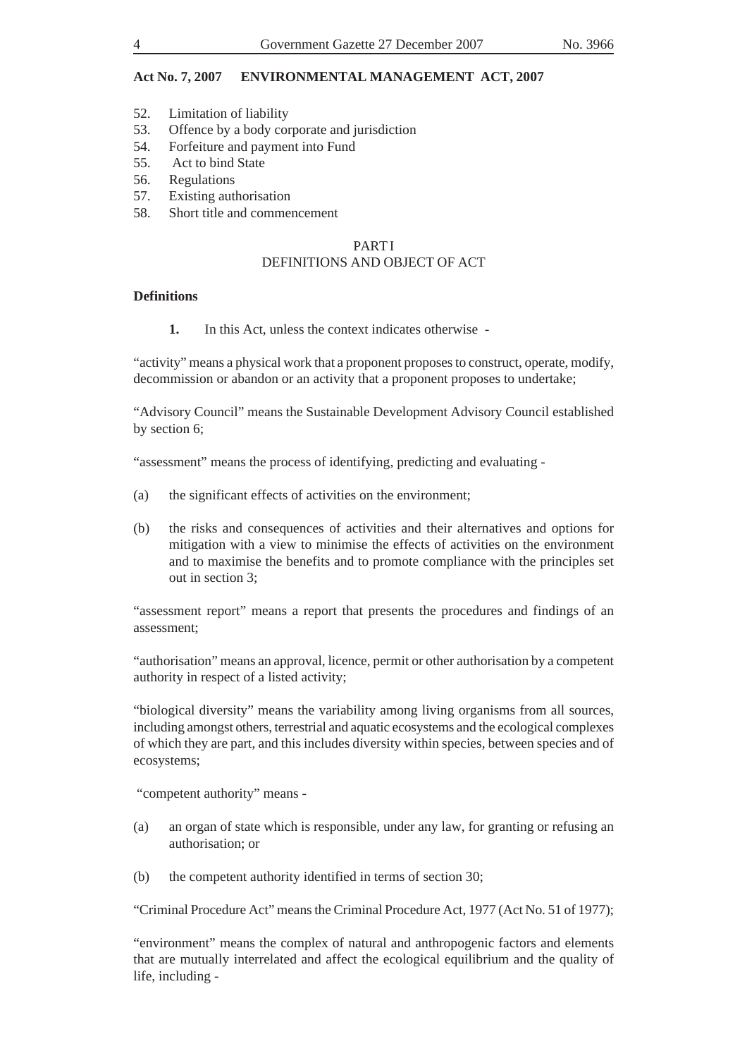- 52. Limitation of liability
- 53. Offence by a body corporate and jurisdiction
- 54. Forfeiture and payment into Fund
- 55. Act to bind State
- 56. Regulations
- 57. Existing authorisation
- 58. Short title and commencement

#### PART I DEFINITIONS AND OBJECT OF ACT

#### **Definitions**

**1.** In this Act, unless the context indicates otherwise -

"activity" means a physical work that a proponent proposes to construct, operate, modify, decommission or abandon or an activity that a proponent proposes to undertake;

"Advisory Council" means the Sustainable Development Advisory Council established by section 6;

"assessment" means the process of identifying, predicting and evaluating -

- (a) the significant effects of activities on the environment;
- (b) the risks and consequences of activities and their alternatives and options for mitigation with a view to minimise the effects of activities on the environment and to maximise the benefits and to promote compliance with the principles set out in section 3;

"assessment report" means a report that presents the procedures and findings of an assessment;

"authorisation" means an approval, licence, permit or other authorisation by a competent authority in respect of a listed activity;

"biological diversity" means the variability among living organisms from all sources, including amongst others, terrestrial and aquatic ecosystems and the ecological complexes of which they are part, and this includes diversity within species, between species and of ecosystems;

"competent authority" means -

- (a) an organ of state which is responsible, under any law, for granting or refusing an authorisation; or
- (b) the competent authority identified in terms of section 30;

"Criminal Procedure Act" means the Criminal Procedure Act, 1977 (Act No. 51 of 1977);

"environment" means the complex of natural and anthropogenic factors and elements that are mutually interrelated and affect the ecological equilibrium and the quality of life, including -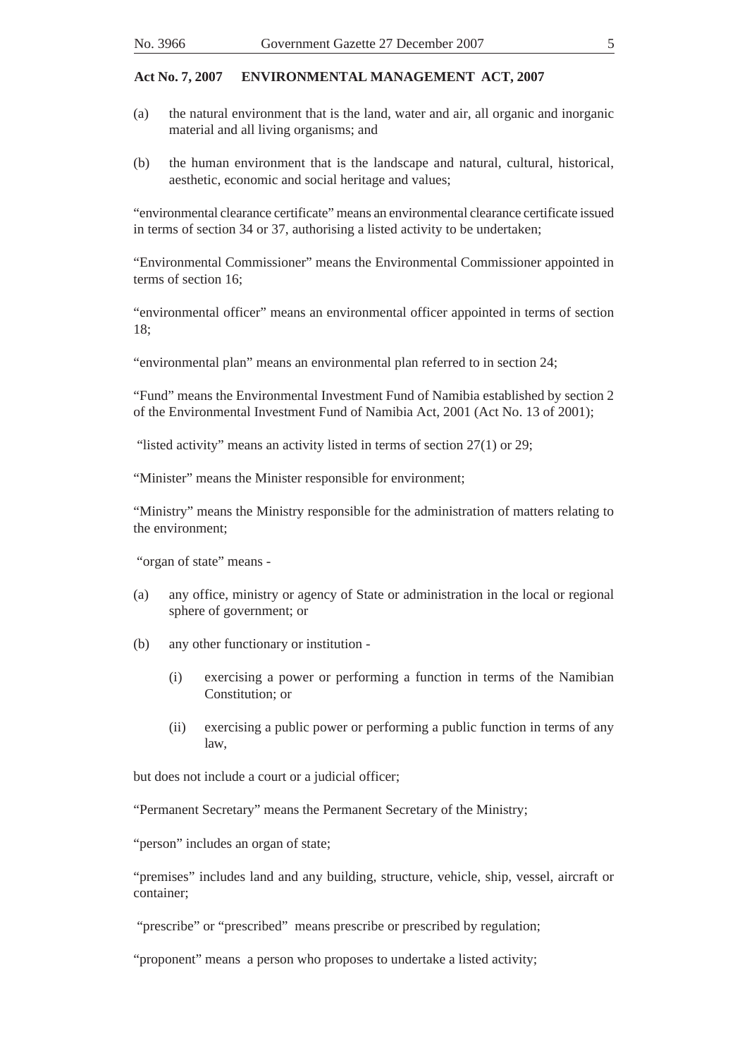- (a) the natural environment that is the land, water and air, all organic and inorganic material and all living organisms; and
- (b) the human environment that is the landscape and natural, cultural, historical, aesthetic, economic and social heritage and values;

"environmental clearance certificate" means an environmental clearance certificate issued in terms of section 34 or 37, authorising a listed activity to be undertaken;

"Environmental Commissioner" means the Environmental Commissioner appointed in terms of section 16;

"environmental officer" means an environmental officer appointed in terms of section  $18<sup>5</sup>$ 

"environmental plan" means an environmental plan referred to in section 24;

"Fund" means the Environmental Investment Fund of Namibia established by section 2 of the Environmental Investment Fund of Namibia Act, 2001 (Act No. 13 of 2001);

"listed activity" means an activity listed in terms of section 27(1) or 29;

"Minister" means the Minister responsible for environment;

"Ministry" means the Ministry responsible for the administration of matters relating to the environment;

"organ of state" means -

- (a) any office, ministry or agency of State or administration in the local or regional sphere of government; or
- (b) any other functionary or institution
	- (i) exercising a power or performing a function in terms of the Namibian Constitution; or
	- (ii) exercising a public power or performing a public function in terms of any law,

but does not include a court or a judicial officer;

"Permanent Secretary" means the Permanent Secretary of the Ministry;

"person" includes an organ of state;

"premises" includes land and any building, structure, vehicle, ship, vessel, aircraft or container;

"prescribe" or "prescribed" means prescribe or prescribed by regulation;

"proponent" means a person who proposes to undertake a listed activity;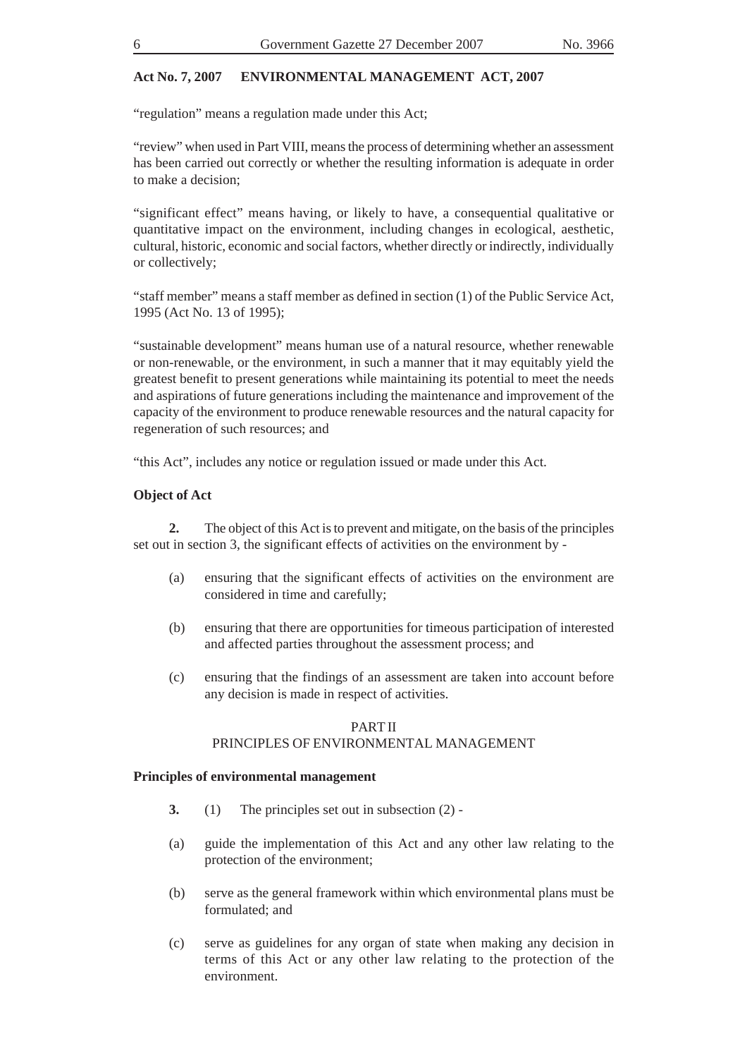"regulation" means a regulation made under this Act;

"review" when used in Part VIII, means the process of determining whether an assessment has been carried out correctly or whether the resulting information is adequate in order to make a decision;

"significant effect" means having, or likely to have, a consequential qualitative or quantitative impact on the environment, including changes in ecological, aesthetic, cultural, historic, economic and social factors, whether directly or indirectly, individually or collectively;

"staff member" means a staff member as defined in section (1) of the Public Service Act, 1995 (Act No. 13 of 1995);

"sustainable development" means human use of a natural resource, whether renewable or non-renewable, or the environment, in such a manner that it may equitably yield the greatest benefit to present generations while maintaining its potential to meet the needs and aspirations of future generations including the maintenance and improvement of the capacity of the environment to produce renewable resources and the natural capacity for regeneration of such resources; and

"this Act", includes any notice or regulation issued or made under this Act.

#### **Object of Act**

**2.** The object of this Act is to prevent and mitigate, on the basis of the principles set out in section 3, the significant effects of activities on the environment by -

- (a) ensuring that the significant effects of activities on the environment are considered in time and carefully;
- (b) ensuring that there are opportunities for timeous participation of interested and affected parties throughout the assessment process; and
- (c) ensuring that the findings of an assessment are taken into account before any decision is made in respect of activities.

### PART II PRINCIPLES OF ENVIRONMENTAL MANAGEMENT

#### **Principles of environmental management**

- **3.** (1) The principles set out in subsection (2) -
- (a) guide the implementation of this Act and any other law relating to the protection of the environment;
- (b) serve as the general framework within which environmental plans must be formulated; and
- (c) serve as guidelines for any organ of state when making any decision in terms of this Act or any other law relating to the protection of the environment.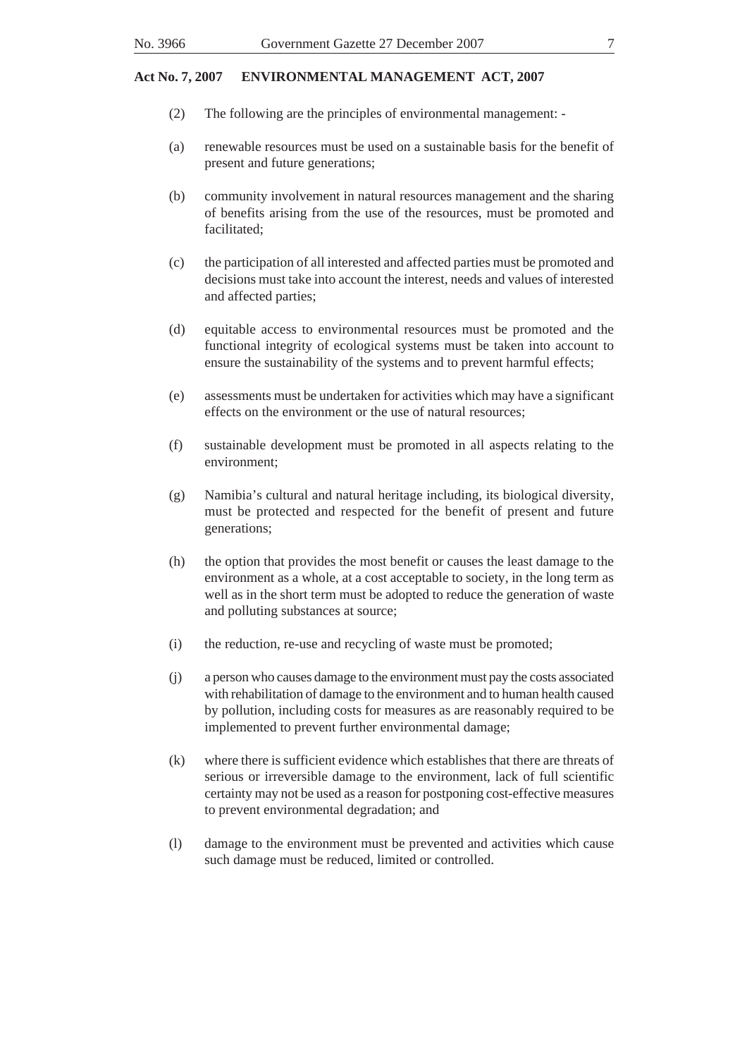- (2) The following are the principles of environmental management: -
- (a) renewable resources must be used on a sustainable basis for the benefit of present and future generations;
- (b) community involvement in natural resources management and the sharing of benefits arising from the use of the resources, must be promoted and facilitated;
- (c) the participation of all interested and affected parties must be promoted and decisions must take into account the interest, needs and values of interested and affected parties;
- (d) equitable access to environmental resources must be promoted and the functional integrity of ecological systems must be taken into account to ensure the sustainability of the systems and to prevent harmful effects;
- (e) assessments must be undertaken for activities which may have a significant effects on the environment or the use of natural resources;
- (f) sustainable development must be promoted in all aspects relating to the environment;
- (g) Namibia's cultural and natural heritage including, its biological diversity, must be protected and respected for the benefit of present and future generations;
- (h) the option that provides the most benefit or causes the least damage to the environment as a whole, at a cost acceptable to society, in the long term as well as in the short term must be adopted to reduce the generation of waste and polluting substances at source;
- (i) the reduction, re-use and recycling of waste must be promoted;
- (j) a person who causes damage to the environment must pay the costs associated with rehabilitation of damage to the environment and to human health caused by pollution, including costs for measures as are reasonably required to be implemented to prevent further environmental damage;
- (k) where there is sufficient evidence which establishes that there are threats of serious or irreversible damage to the environment, lack of full scientific certainty may not be used as a reason for postponing cost-effective measures to prevent environmental degradation; and
- (l) damage to the environment must be prevented and activities which cause such damage must be reduced, limited or controlled.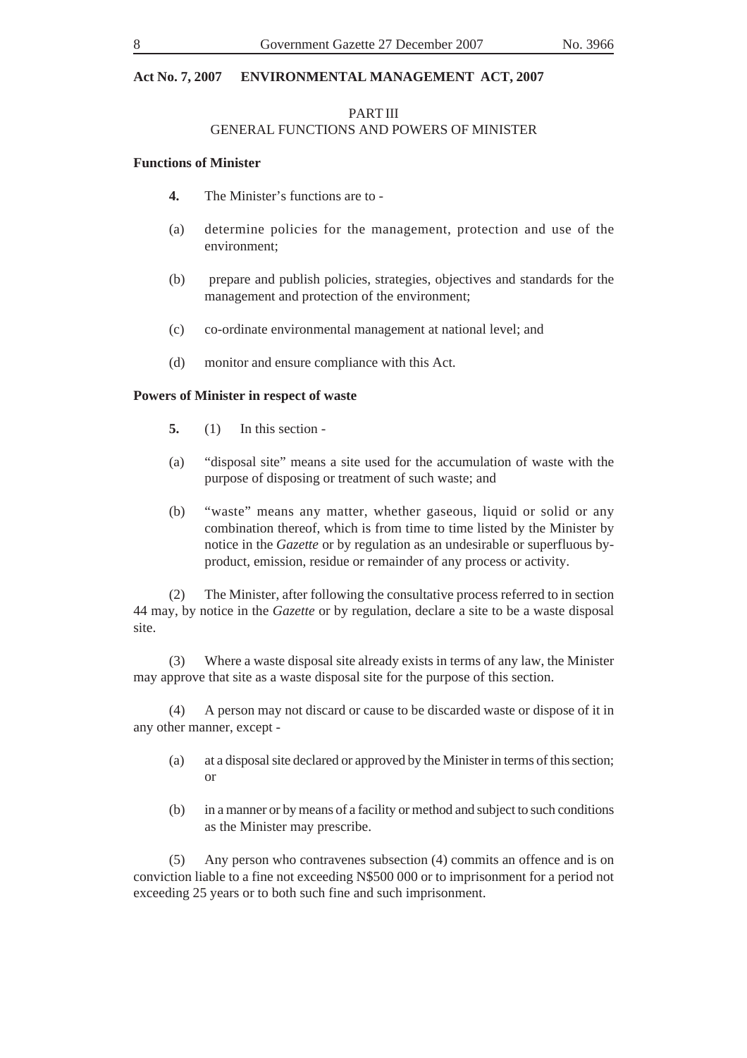# PART III GENERAL FUNCTIONS AND POWERS OF MINISTER

#### **Functions of Minister**

- **4.** The Minister's functions are to -
- (a) determine policies for the management, protection and use of the environment;
- (b) prepare and publish policies, strategies, objectives and standards for the management and protection of the environment;
- (c) co-ordinate environmental management at national level; and
- (d) monitor and ensure compliance with this Act.

#### **Powers of Minister in respect of waste**

- **5.** (1) In this section -
- (a) "disposal site" means a site used for the accumulation of waste with the purpose of disposing or treatment of such waste; and
- (b) "waste" means any matter, whether gaseous, liquid or solid or any combination thereof, which is from time to time listed by the Minister by notice in the *Gazette* or by regulation as an undesirable or superfluous byproduct, emission, residue or remainder of any process or activity.

(2) The Minister, after following the consultative process referred to in section 44 may, by notice in the *Gazette* or by regulation, declare a site to be a waste disposal site.

(3) Where a waste disposal site already exists in terms of any law, the Minister may approve that site as a waste disposal site for the purpose of this section.

(4) A person may not discard or cause to be discarded waste or dispose of it in any other manner, except -

- (a) at a disposal site declared or approved by the Minister in terms of this section; or
- (b) in a manner or by means of a facility or method and subject to such conditions as the Minister may prescribe.

(5) Any person who contravenes subsection (4) commits an offence and is on conviction liable to a fine not exceeding N\$500 000 or to imprisonment for a period not exceeding 25 years or to both such fine and such imprisonment.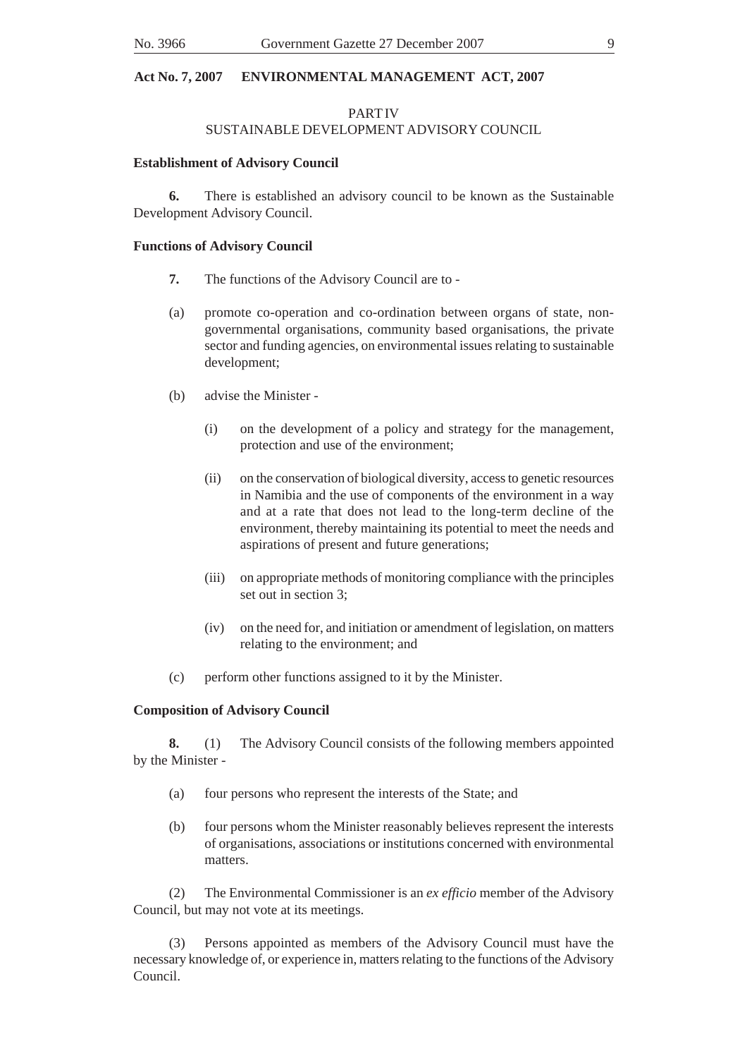# PART IV SUSTAINABLE DEVELOPMENT ADVISORY COUNCIL

### **Establishment of Advisory Council**

**6.** There is established an advisory council to be known as the Sustainable Development Advisory Council.

#### **Functions of Advisory Council**

- **7.** The functions of the Advisory Council are to -
- (a) promote co-operation and co-ordination between organs of state, nongovernmental organisations, community based organisations, the private sector and funding agencies, on environmental issues relating to sustainable development;
- (b) advise the Minister
	- (i) on the development of a policy and strategy for the management, protection and use of the environment;
	- (ii) on the conservation of biological diversity, access to genetic resources in Namibia and the use of components of the environment in a way and at a rate that does not lead to the long-term decline of the environment, thereby maintaining its potential to meet the needs and aspirations of present and future generations;
	- (iii) on appropriate methods of monitoring compliance with the principles set out in section 3;
	- (iv) on the need for, and initiation or amendment of legislation, on matters relating to the environment; and
- (c) perform other functions assigned to it by the Minister.

#### **Composition of Advisory Council**

**8.** (1) The Advisory Council consists of the following members appointed by the Minister -

- (a) four persons who represent the interests of the State; and
- (b) four persons whom the Minister reasonably believes represent the interests of organisations, associations or institutions concerned with environmental matters.

(2) The Environmental Commissioner is an *ex efficio* member of the Advisory Council, but may not vote at its meetings.

(3) Persons appointed as members of the Advisory Council must have the necessary knowledge of, or experience in, matters relating to the functions of the Advisory Council.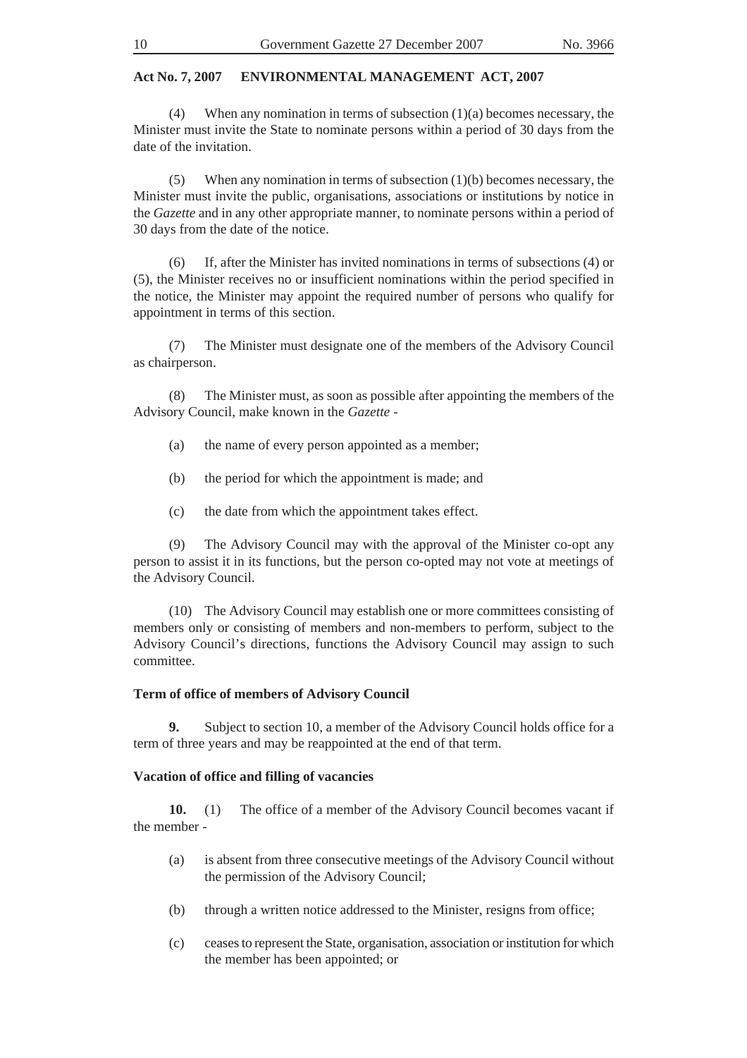(4) When any nomination in terms of subsection (1)(a) becomes necessary, the Minister must invite the State to nominate persons within a period of 30 days from the date of the invitation.

(5) When any nomination in terms of subsection (1)(b) becomes necessary, the Minister must invite the public, organisations, associations or institutions by notice in the *Gazette* and in any other appropriate manner, to nominate persons within a period of 30 days from the date of the notice.

(6) If, after the Minister has invited nominations in terms of subsections (4) or (5), the Minister receives no or insufficient nominations within the period specified in the notice, the Minister may appoint the required number of persons who qualify for appointment in terms of this section.

(7) The Minister must designate one of the members of the Advisory Council as chairperson.

(8) The Minister must, as soon as possible after appointing the members of the Advisory Council, make known in the *Gazette* -

- (a) the name of every person appointed as a member;
- (b) the period for which the appointment is made; and
- (c) the date from which the appointment takes effect.

(9) The Advisory Council may with the approval of the Minister co-opt any person to assist it in its functions, but the person co-opted may not vote at meetings of the Advisory Council.

(10) The Advisory Council may establish one or more committees consisting of members only or consisting of members and non-members to perform, subject to the Advisory Council's directions, functions the Advisory Council may assign to such committee.

#### **Term of office of members of Advisory Council**

**9.** Subject to section 10, a member of the Advisory Council holds office for a term of three years and may be reappointed at the end of that term.

#### **Vacation of office and filling of vacancies**

**10.** (1) The office of a member of the Advisory Council becomes vacant if the member -

- (a) is absent from three consecutive meetings of the Advisory Council without the permission of the Advisory Council;
- (b) through a written notice addressed to the Minister, resigns from office;
- (c) ceases to represent the State, organisation, association or institution for which the member has been appointed; or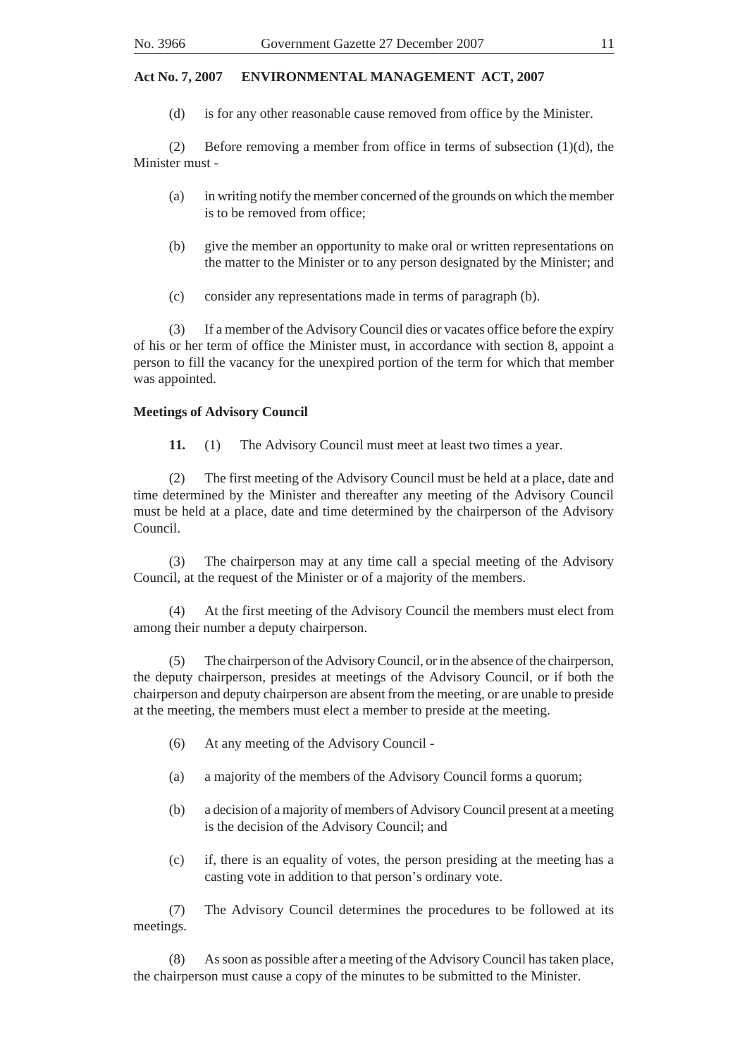(d) is for any other reasonable cause removed from office by the Minister.

(2) Before removing a member from office in terms of subsection (1)(d), the Minister must -

- (a) in writing notify the member concerned of the grounds on which the member is to be removed from office;
- (b) give the member an opportunity to make oral or written representations on the matter to the Minister or to any person designated by the Minister; and
- (c) consider any representations made in terms of paragraph (b).

(3) If a member of the Advisory Council dies or vacates office before the expiry of his or her term of office the Minister must, in accordance with section 8, appoint a person to fill the vacancy for the unexpired portion of the term for which that member was appointed.

#### **Meetings of Advisory Council**

**11.** (1) The Advisory Council must meet at least two times a year.

(2) The first meeting of the Advisory Council must be held at a place, date and time determined by the Minister and thereafter any meeting of the Advisory Council must be held at a place, date and time determined by the chairperson of the Advisory Council.

(3) The chairperson may at any time call a special meeting of the Advisory Council, at the request of the Minister or of a majority of the members.

(4) At the first meeting of the Advisory Council the members must elect from among their number a deputy chairperson.

(5) The chairperson of the Advisory Council, or in the absence of the chairperson, the deputy chairperson, presides at meetings of the Advisory Council, or if both the chairperson and deputy chairperson are absent from the meeting, or are unable to preside at the meeting, the members must elect a member to preside at the meeting.

- (6) At any meeting of the Advisory Council -
- (a) a majority of the members of the Advisory Council forms a quorum;
- (b) a decision of a majority of members of Advisory Council present at a meeting is the decision of the Advisory Council; and
- (c) if, there is an equality of votes, the person presiding at the meeting has a casting vote in addition to that person's ordinary vote.

(7) The Advisory Council determines the procedures to be followed at its meetings.

(8) As soon as possible after a meeting of the Advisory Council has taken place, the chairperson must cause a copy of the minutes to be submitted to the Minister.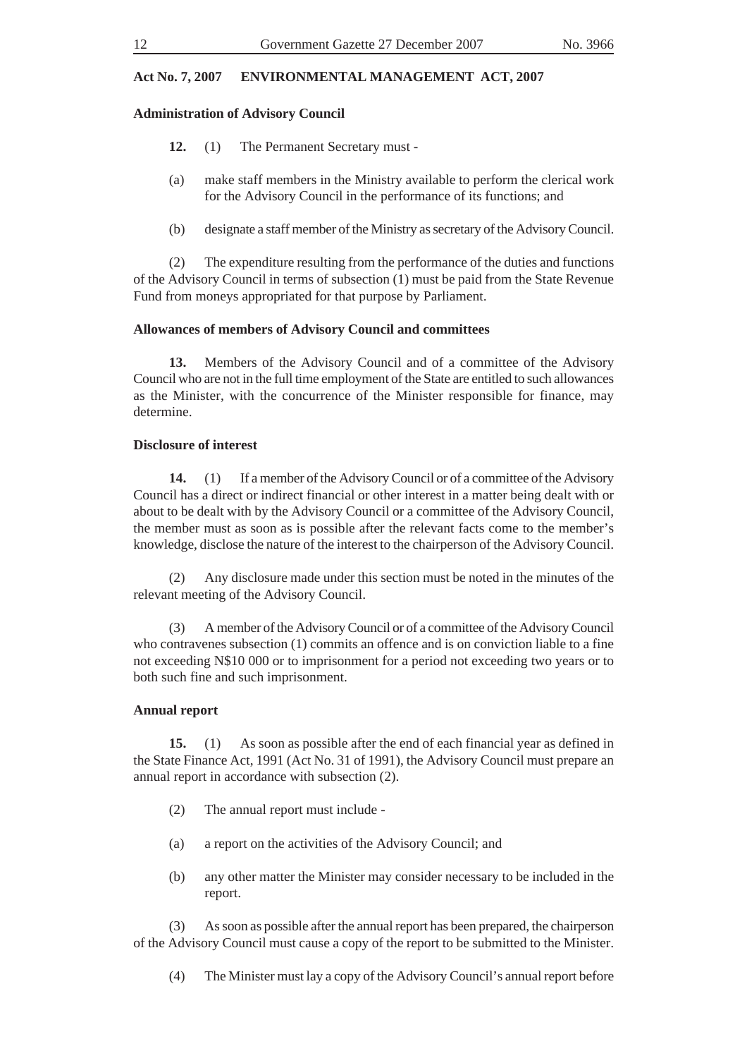### **Administration of Advisory Council**

- **12.** (1) The Permanent Secretary must -
- (a) make staff members in the Ministry available to perform the clerical work for the Advisory Council in the performance of its functions; and
- (b) designate a staff member of the Ministry as secretary of the Advisory Council.

(2) The expenditure resulting from the performance of the duties and functions of the Advisory Council in terms of subsection (1) must be paid from the State Revenue Fund from moneys appropriated for that purpose by Parliament.

#### **Allowances of members of Advisory Council and committees**

**13.** Members of the Advisory Council and of a committee of the Advisory Council who are not in the full time employment of the State are entitled to such allowances as the Minister, with the concurrence of the Minister responsible for finance, may determine.

#### **Disclosure of interest**

**14.** (1) If a member of the Advisory Council or of a committee of the Advisory Council has a direct or indirect financial or other interest in a matter being dealt with or about to be dealt with by the Advisory Council or a committee of the Advisory Council, the member must as soon as is possible after the relevant facts come to the member's knowledge, disclose the nature of the interest to the chairperson of the Advisory Council.

(2) Any disclosure made under this section must be noted in the minutes of the relevant meeting of the Advisory Council.

(3) A member of the Advisory Council or of a committee of the Advisory Council who contravenes subsection (1) commits an offence and is on conviction liable to a fine not exceeding N\$10 000 or to imprisonment for a period not exceeding two years or to both such fine and such imprisonment.

#### **Annual report**

**15.** (1) As soon as possible after the end of each financial year as defined in the State Finance Act, 1991 (Act No. 31 of 1991), the Advisory Council must prepare an annual report in accordance with subsection (2).

- (2) The annual report must include -
- (a) a report on the activities of the Advisory Council; and
- (b) any other matter the Minister may consider necessary to be included in the report.

(3) As soon as possible after the annual report has been prepared, the chairperson of the Advisory Council must cause a copy of the report to be submitted to the Minister.

(4) The Minister must lay a copy of the Advisory Council's annual report before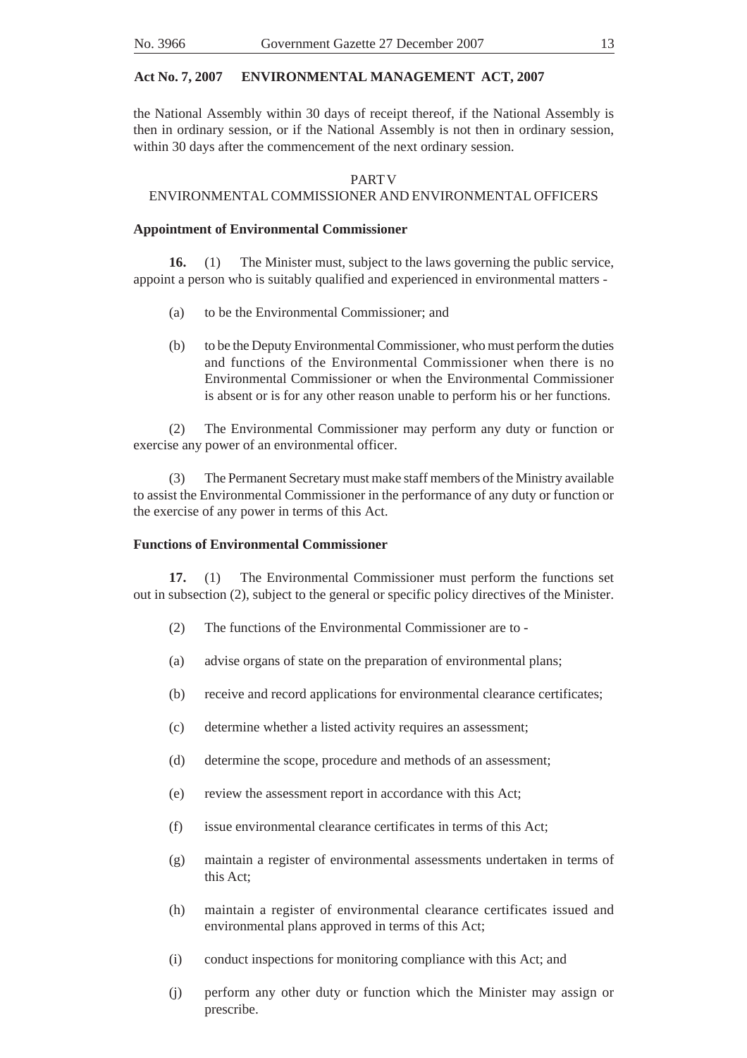the National Assembly within 30 days of receipt thereof, if the National Assembly is then in ordinary session, or if the National Assembly is not then in ordinary session, within 30 days after the commencement of the next ordinary session.

#### PART V

#### ENVIRONMENTAL COMMISSIONER AND ENVIRONMENTAL OFFICERS

#### **Appointment of Environmental Commissioner**

**16.** (1) The Minister must, subject to the laws governing the public service, appoint a person who is suitably qualified and experienced in environmental matters -

- (a) to be the Environmental Commissioner; and
- (b) to be the Deputy Environmental Commissioner, who must perform the duties and functions of the Environmental Commissioner when there is no Environmental Commissioner or when the Environmental Commissioner is absent or is for any other reason unable to perform his or her functions.

(2) The Environmental Commissioner may perform any duty or function or exercise any power of an environmental officer.

(3) The Permanent Secretary must make staff members of the Ministry available to assist the Environmental Commissioner in the performance of any duty or function or the exercise of any power in terms of this Act.

#### **Functions of Environmental Commissioner**

**17.** (1) The Environmental Commissioner must perform the functions set out in subsection (2), subject to the general or specific policy directives of the Minister.

- (2) The functions of the Environmental Commissioner are to -
- (a) advise organs of state on the preparation of environmental plans;
- (b) receive and record applications for environmental clearance certificates;
- (c) determine whether a listed activity requires an assessment;
- (d) determine the scope, procedure and methods of an assessment;
- (e) review the assessment report in accordance with this Act;
- (f) issue environmental clearance certificates in terms of this Act;
- (g) maintain a register of environmental assessments undertaken in terms of this Act;
- (h) maintain a register of environmental clearance certificates issued and environmental plans approved in terms of this Act;
- (i) conduct inspections for monitoring compliance with this Act; and
- (j) perform any other duty or function which the Minister may assign or prescribe.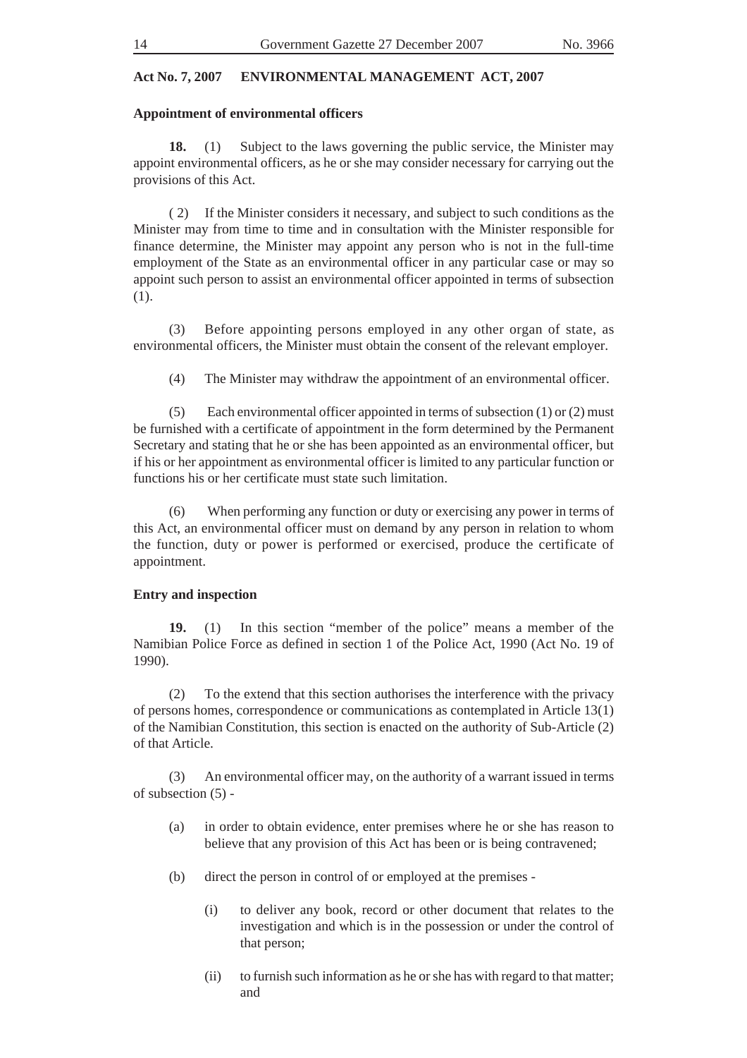#### **Appointment of environmental officers**

**18.** (1) Subject to the laws governing the public service, the Minister may appoint environmental officers, as he or she may consider necessary for carrying out the provisions of this Act.

( 2) If the Minister considers it necessary, and subject to such conditions as the Minister may from time to time and in consultation with the Minister responsible for finance determine, the Minister may appoint any person who is not in the full-time employment of the State as an environmental officer in any particular case or may so appoint such person to assist an environmental officer appointed in terms of subsection (1).

(3) Before appointing persons employed in any other organ of state, as environmental officers, the Minister must obtain the consent of the relevant employer.

(4) The Minister may withdraw the appointment of an environmental officer.

(5) Each environmental officer appointed in terms of subsection (1) or (2) must be furnished with a certificate of appointment in the form determined by the Permanent Secretary and stating that he or she has been appointed as an environmental officer, but if his or her appointment as environmental officer is limited to any particular function or functions his or her certificate must state such limitation.

(6) When performing any function or duty or exercising any power in terms of this Act, an environmental officer must on demand by any person in relation to whom the function, duty or power is performed or exercised, produce the certificate of appointment.

### **Entry and inspection**

**19.** (1) In this section "member of the police" means a member of the Namibian Police Force as defined in section 1 of the Police Act, 1990 (Act No. 19 of 1990).

(2) To the extend that this section authorises the interference with the privacy of persons homes, correspondence or communications as contemplated in Article 13(1) of the Namibian Constitution, this section is enacted on the authority of Sub-Article (2) of that Article.

(3) An environmental officer may, on the authority of a warrant issued in terms of subsection (5) -

- (a) in order to obtain evidence, enter premises where he or she has reason to believe that any provision of this Act has been or is being contravened;
- (b) direct the person in control of or employed at the premises
	- (i) to deliver any book, record or other document that relates to the investigation and which is in the possession or under the control of that person;
	- (ii) to furnish such information as he or she has with regard to that matter; and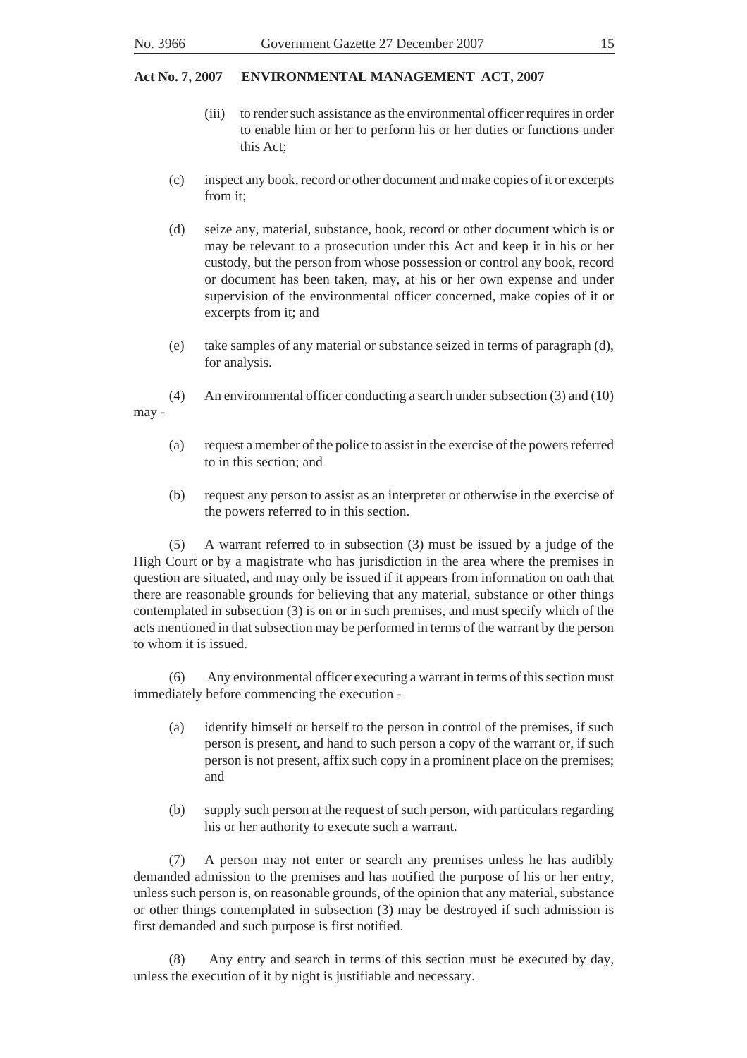- (iii) to render such assistance as the environmental officer requires in order to enable him or her to perform his or her duties or functions under this Act;
- (c) inspect any book, record or other document and make copies of it or excerpts from it;
- (d) seize any, material, substance, book, record or other document which is or may be relevant to a prosecution under this Act and keep it in his or her custody, but the person from whose possession or control any book, record or document has been taken, may, at his or her own expense and under supervision of the environmental officer concerned, make copies of it or excerpts from it; and
- (e) take samples of any material or substance seized in terms of paragraph (d), for analysis.
- (4) An environmental officer conducting a search under subsection (3) and (10)

may -

- (a) request a member of the police to assist in the exercise of the powers referred to in this section; and
- (b) request any person to assist as an interpreter or otherwise in the exercise of the powers referred to in this section.

(5) A warrant referred to in subsection (3) must be issued by a judge of the High Court or by a magistrate who has jurisdiction in the area where the premises in question are situated, and may only be issued if it appears from information on oath that there are reasonable grounds for believing that any material, substance or other things contemplated in subsection (3) is on or in such premises, and must specify which of the acts mentioned in that subsection may be performed in terms of the warrant by the person to whom it is issued.

(6) Any environmental officer executing a warrant in terms of this section must immediately before commencing the execution -

- (a) identify himself or herself to the person in control of the premises, if such person is present, and hand to such person a copy of the warrant or, if such person is not present, affix such copy in a prominent place on the premises; and
- (b) supply such person at the request of such person, with particulars regarding his or her authority to execute such a warrant.

(7) A person may not enter or search any premises unless he has audibly demanded admission to the premises and has notified the purpose of his or her entry, unless such person is, on reasonable grounds, of the opinion that any material, substance or other things contemplated in subsection (3) may be destroyed if such admission is first demanded and such purpose is first notified.

(8) Any entry and search in terms of this section must be executed by day, unless the execution of it by night is justifiable and necessary.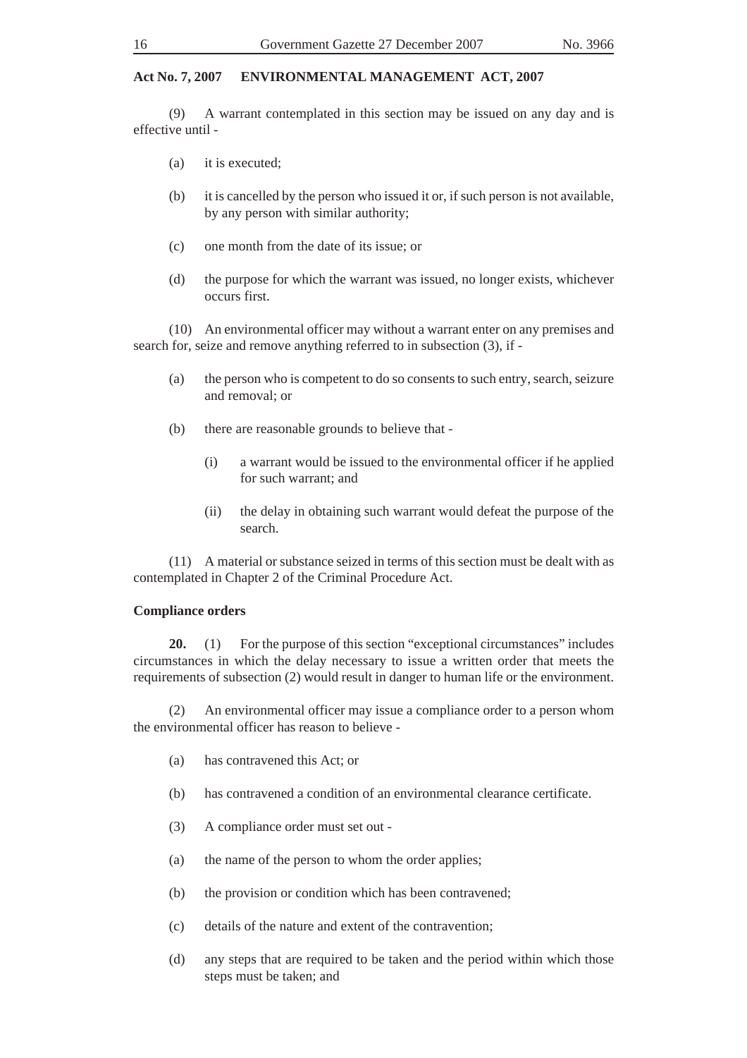(9) A warrant contemplated in this section may be issued on any day and is effective until -

- (a) it is executed;
- (b) it is cancelled by the person who issued it or, if such person is not available, by any person with similar authority;
- (c) one month from the date of its issue; or
- (d) the purpose for which the warrant was issued, no longer exists, whichever occurs first.

(10) An environmental officer may without a warrant enter on any premises and search for, seize and remove anything referred to in subsection (3), if -

- (a) the person who is competent to do so consents to such entry, search, seizure and removal; or
- (b) there are reasonable grounds to believe that
	- (i) a warrant would be issued to the environmental officer if he applied for such warrant; and
	- (ii) the delay in obtaining such warrant would defeat the purpose of the search.

(11) A material or substance seized in terms of this section must be dealt with as contemplated in Chapter 2 of the Criminal Procedure Act.

#### **Compliance orders**

**20.** (1) For the purpose of this section "exceptional circumstances" includes circumstances in which the delay necessary to issue a written order that meets the requirements of subsection (2) would result in danger to human life or the environment.

(2) An environmental officer may issue a compliance order to a person whom the environmental officer has reason to believe -

- (a) has contravened this Act; or
- (b) has contravened a condition of an environmental clearance certificate.
- (3) A compliance order must set out -
- (a) the name of the person to whom the order applies;
- (b) the provision or condition which has been contravened;
- (c) details of the nature and extent of the contravention;
- (d) any steps that are required to be taken and the period within which those steps must be taken; and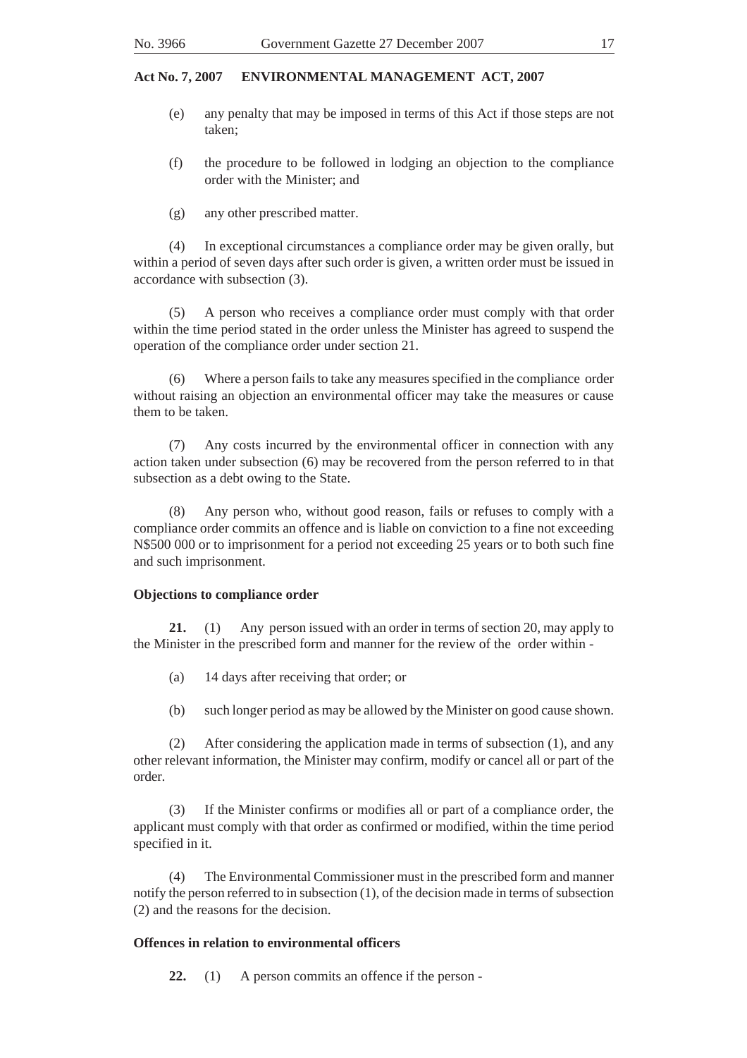- (e) any penalty that may be imposed in terms of this Act if those steps are not taken;
- (f) the procedure to be followed in lodging an objection to the compliance order with the Minister; and
- (g) any other prescribed matter.

(4) In exceptional circumstances a compliance order may be given orally, but within a period of seven days after such order is given, a written order must be issued in accordance with subsection (3).

(5) A person who receives a compliance order must comply with that order within the time period stated in the order unless the Minister has agreed to suspend the operation of the compliance order under section 21.

(6) Where a person fails to take any measures specified in the compliance order without raising an objection an environmental officer may take the measures or cause them to be taken.

(7) Any costs incurred by the environmental officer in connection with any action taken under subsection (6) may be recovered from the person referred to in that subsection as a debt owing to the State.

(8) Any person who, without good reason, fails or refuses to comply with a compliance order commits an offence and is liable on conviction to a fine not exceeding N\$500 000 or to imprisonment for a period not exceeding 25 years or to both such fine and such imprisonment.

#### **Objections to compliance order**

**21.** (1) Any person issued with an order in terms of section 20, may apply to the Minister in the prescribed form and manner for the review of the order within -

- (a) 14 days after receiving that order; or
- (b) such longer period as may be allowed by the Minister on good cause shown.

(2) After considering the application made in terms of subsection (1), and any other relevant information, the Minister may confirm, modify or cancel all or part of the order.

(3) If the Minister confirms or modifies all or part of a compliance order, the applicant must comply with that order as confirmed or modified, within the time period specified in it.

(4) The Environmental Commissioner must in the prescribed form and manner notify the person referred to in subsection (1), of the decision made in terms of subsection (2) and the reasons for the decision.

# **Offences in relation to environmental officers**

**22.** (1) A person commits an offence if the person -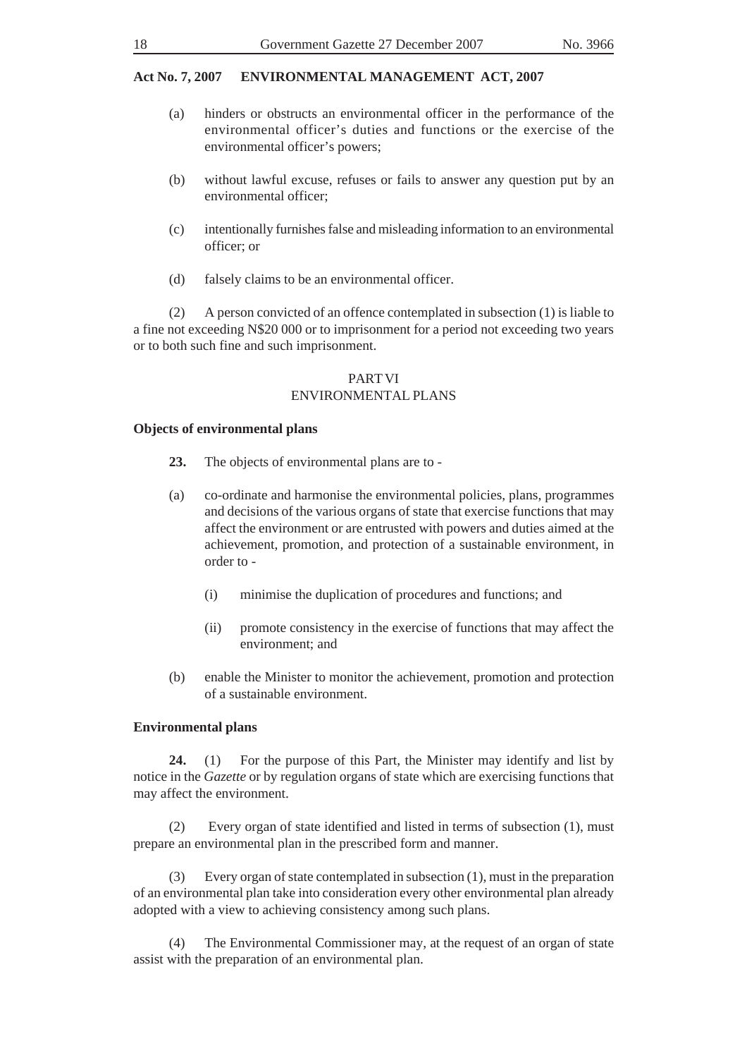- (a) hinders or obstructs an environmental officer in the performance of the environmental officer's duties and functions or the exercise of the environmental officer's powers;
- (b) without lawful excuse, refuses or fails to answer any question put by an environmental officer;
- (c) intentionally furnishes false and misleading information to an environmental officer; or
- (d) falsely claims to be an environmental officer.

(2) A person convicted of an offence contemplated in subsection (1) is liable to a fine not exceeding N\$20 000 or to imprisonment for a period not exceeding two years or to both such fine and such imprisonment.

#### PART VI ENVIRONMENTAL PLANS

#### **Objects of environmental plans**

- **23.** The objects of environmental plans are to -
- (a) co-ordinate and harmonise the environmental policies, plans, programmes and decisions of the various organs of state that exercise functions that may affect the environment or are entrusted with powers and duties aimed at the achievement, promotion, and protection of a sustainable environment, in order to -
	- (i) minimise the duplication of procedures and functions; and
	- (ii) promote consistency in the exercise of functions that may affect the environment; and
- (b) enable the Minister to monitor the achievement, promotion and protection of a sustainable environment.

#### **Environmental plans**

**24.** (1) For the purpose of this Part, the Minister may identify and list by notice in the *Gazette* or by regulation organs of state which are exercising functions that may affect the environment.

(2) Every organ of state identified and listed in terms of subsection (1), must prepare an environmental plan in the prescribed form and manner.

(3) Every organ of state contemplated in subsection (1), must in the preparation of an environmental plan take into consideration every other environmental plan already adopted with a view to achieving consistency among such plans.

(4) The Environmental Commissioner may, at the request of an organ of state assist with the preparation of an environmental plan.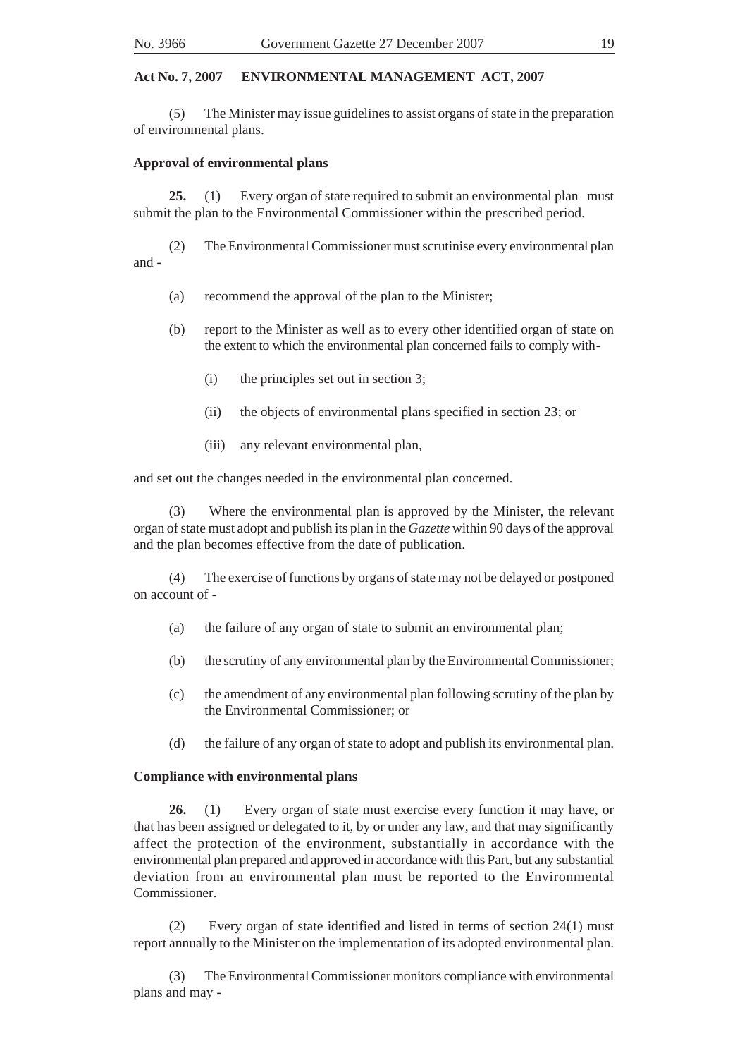(5) The Minister may issue guidelines to assist organs of state in the preparation of environmental plans.

#### **Approval of environmental plans**

**25.** (1) Every organ of state required to submit an environmental plan must submit the plan to the Environmental Commissioner within the prescribed period.

(2) The Environmental Commissioner must scrutinise every environmental plan and -

- (a) recommend the approval of the plan to the Minister;
- (b) report to the Minister as well as to every other identified organ of state on the extent to which the environmental plan concerned fails to comply with-
	- (i) the principles set out in section 3;
	- (ii) the objects of environmental plans specified in section 23; or
	- (iii) any relevant environmental plan,

and set out the changes needed in the environmental plan concerned.

(3) Where the environmental plan is approved by the Minister, the relevant organ of state must adopt and publish its plan in the *Gazette* within 90 days of the approval and the plan becomes effective from the date of publication.

(4) The exercise of functions by organs of state may not be delayed or postponed on account of -

- (a) the failure of any organ of state to submit an environmental plan;
- (b) the scrutiny of any environmental plan by the Environmental Commissioner;
- (c) the amendment of any environmental plan following scrutiny of the plan by the Environmental Commissioner; or
- (d) the failure of any organ of state to adopt and publish its environmental plan.

# **Compliance with environmental plans**

**26.** (1) Every organ of state must exercise every function it may have, or that has been assigned or delegated to it, by or under any law, and that may significantly affect the protection of the environment, substantially in accordance with the environmental plan prepared and approved in accordance with this Part, but any substantial deviation from an environmental plan must be reported to the Environmental Commissioner.

(2) Every organ of state identified and listed in terms of section 24(1) must report annually to the Minister on the implementation of its adopted environmental plan.

(3) The Environmental Commissioner monitors compliance with environmental plans and may -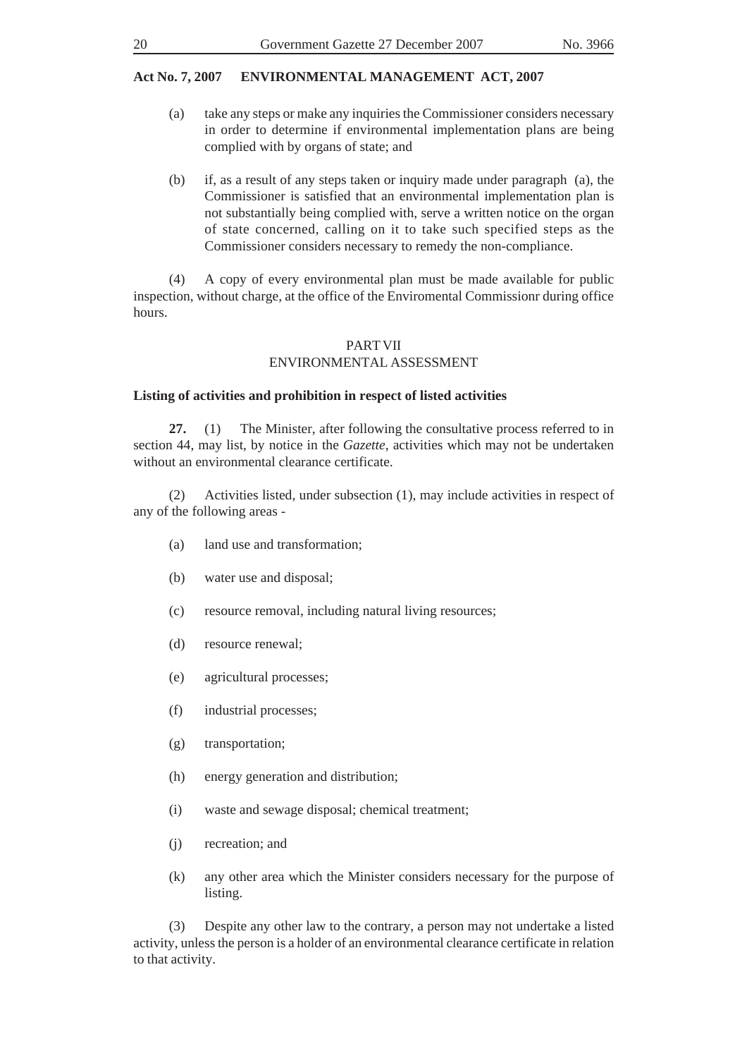- (a) take any steps or make any inquiries the Commissioner considers necessary in order to determine if environmental implementation plans are being complied with by organs of state; and
- (b) if, as a result of any steps taken or inquiry made under paragraph (a), the Commissioner is satisfied that an environmental implementation plan is not substantially being complied with, serve a written notice on the organ of state concerned, calling on it to take such specified steps as the Commissioner considers necessary to remedy the non-compliance.

(4) A copy of every environmental plan must be made available for public inspection, without charge, at the office of the Enviromental Commissionr during office hours.

# PART VII ENVIRONMENTAL ASSESSMENT

### **Listing of activities and prohibition in respect of listed activities**

**27.** (1) The Minister, after following the consultative process referred to in section 44, may list, by notice in the *Gazette,* activities which may not be undertaken without an environmental clearance certificate.

(2) Activities listed, under subsection (1), may include activities in respect of any of the following areas -

- (a) land use and transformation;
- (b) water use and disposal;
- (c) resource removal, including natural living resources;
- (d) resource renewal;
- (e) agricultural processes;
- (f) industrial processes;
- (g) transportation;
- (h) energy generation and distribution;
- (i) waste and sewage disposal; chemical treatment;
- (j) recreation; and
- (k) any other area which the Minister considers necessary for the purpose of listing.

(3) Despite any other law to the contrary, a person may not undertake a listed activity, unless the person is a holder of an environmental clearance certificate in relation to that activity.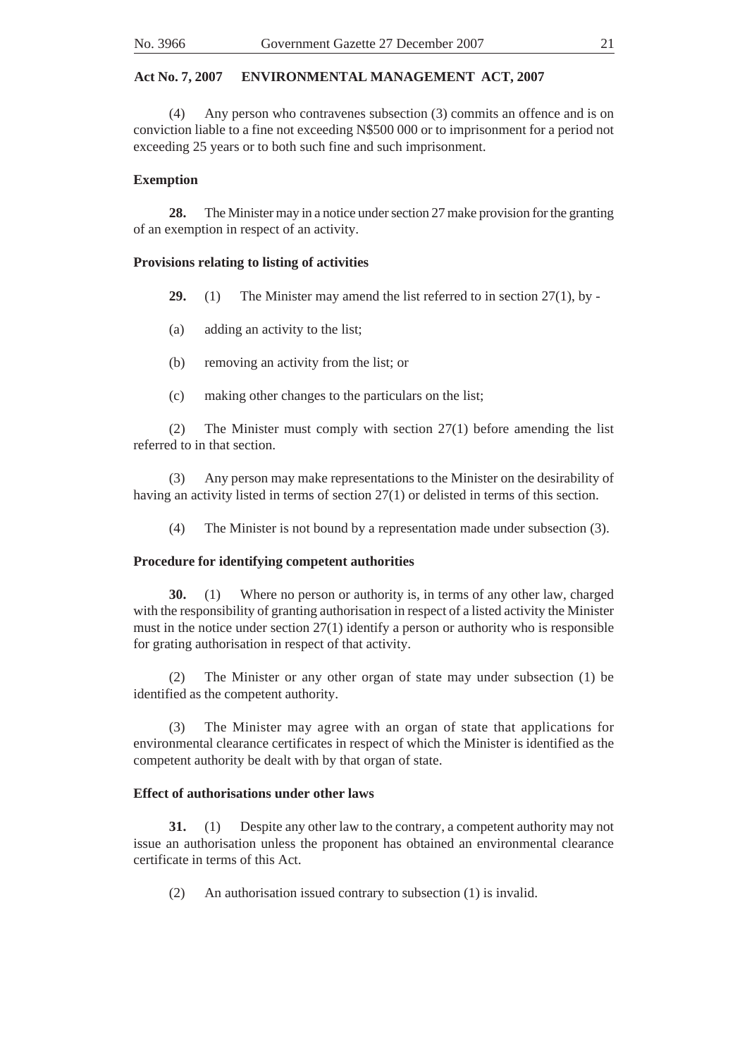(4) Any person who contravenes subsection (3) commits an offence and is on conviction liable to a fine not exceeding N\$500 000 or to imprisonment for a period not exceeding 25 years or to both such fine and such imprisonment.

### **Exemption**

**28.** The Minister may in a notice under section 27 make provision for the granting of an exemption in respect of an activity.

### **Provisions relating to listing of activities**

- **29.** (1) The Minister may amend the list referred to in section 27(1), by -
- (a) adding an activity to the list;
- (b) removing an activity from the list; or
- (c) making other changes to the particulars on the list;

(2) The Minister must comply with section 27(1) before amending the list referred to in that section.

(3) Any person may make representations to the Minister on the desirability of having an activity listed in terms of section 27(1) or delisted in terms of this section.

(4) The Minister is not bound by a representation made under subsection (3).

# **Procedure for identifying competent authorities**

**30.** (1) Where no person or authority is, in terms of any other law, charged with the responsibility of granting authorisation in respect of a listed activity the Minister must in the notice under section 27(1) identify a person or authority who is responsible for grating authorisation in respect of that activity.

(2) The Minister or any other organ of state may under subsection (1) be identified as the competent authority.

(3) The Minister may agree with an organ of state that applications for environmental clearance certificates in respect of which the Minister is identified as the competent authority be dealt with by that organ of state.

# **Effect of authorisations under other laws**

**31.** (1) Despite any other law to the contrary, a competent authority may not issue an authorisation unless the proponent has obtained an environmental clearance certificate in terms of this Act.

(2) An authorisation issued contrary to subsection (1) is invalid.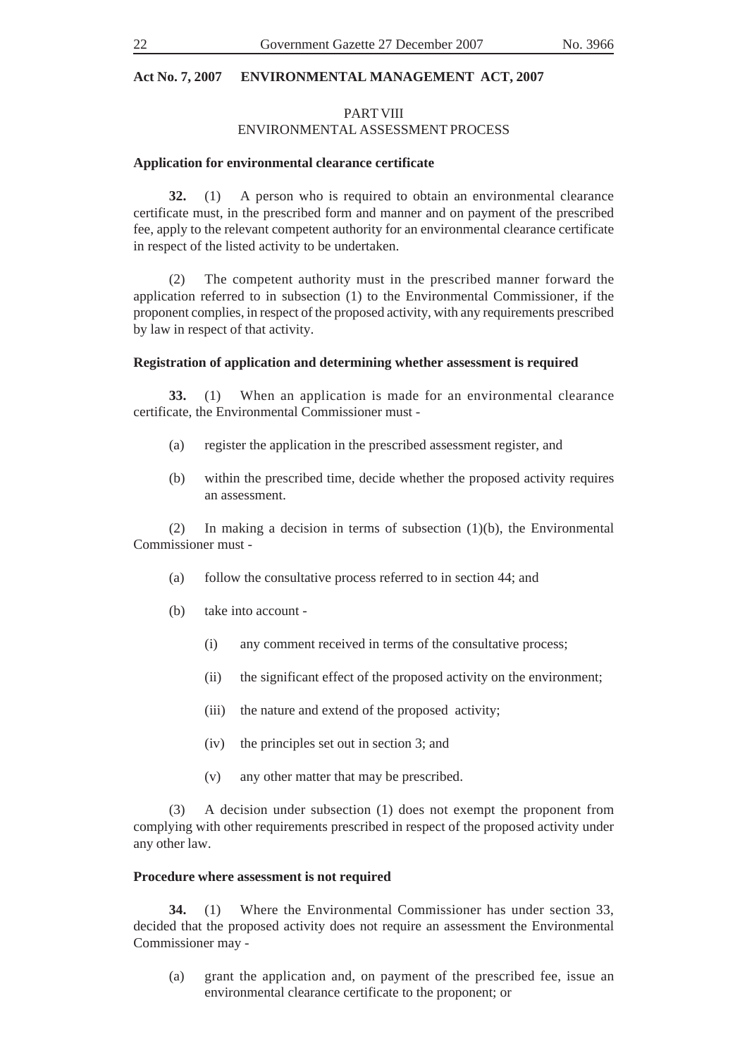### PART VIII ENVIRONMENTAL ASSESSMENT PROCESS

#### **Application for environmental clearance certificate**

**32.** (1) A person who is required to obtain an environmental clearance certificate must, in the prescribed form and manner and on payment of the prescribed fee, apply to the relevant competent authority for an environmental clearance certificate in respect of the listed activity to be undertaken.

(2) The competent authority must in the prescribed manner forward the application referred to in subsection (1) to the Environmental Commissioner, if the proponent complies, in respect of the proposed activity, with any requirements prescribed by law in respect of that activity.

#### **Registration of application and determining whether assessment is required**

**33.** (1) When an application is made for an environmental clearance certificate, the Environmental Commissioner must -

- (a) register the application in the prescribed assessment register, and
- (b) within the prescribed time, decide whether the proposed activity requires an assessment.

(2) In making a decision in terms of subsection (1)(b), the Environmental Commissioner must -

- (a) follow the consultative process referred to in section 44; and
- (b) take into account
	- (i) any comment received in terms of the consultative process;
	- (ii) the significant effect of the proposed activity on the environment;
	- (iii) the nature and extend of the proposed activity;
	- (iv) the principles set out in section 3; and
	- (v) any other matter that may be prescribed.

(3) A decision under subsection (1) does not exempt the proponent from complying with other requirements prescribed in respect of the proposed activity under any other law.

#### **Procedure where assessment is not required**

**34.** (1) Where the Environmental Commissioner has under section 33, decided that the proposed activity does not require an assessment the Environmental Commissioner may -

(a) grant the application and, on payment of the prescribed fee, issue an environmental clearance certificate to the proponent; or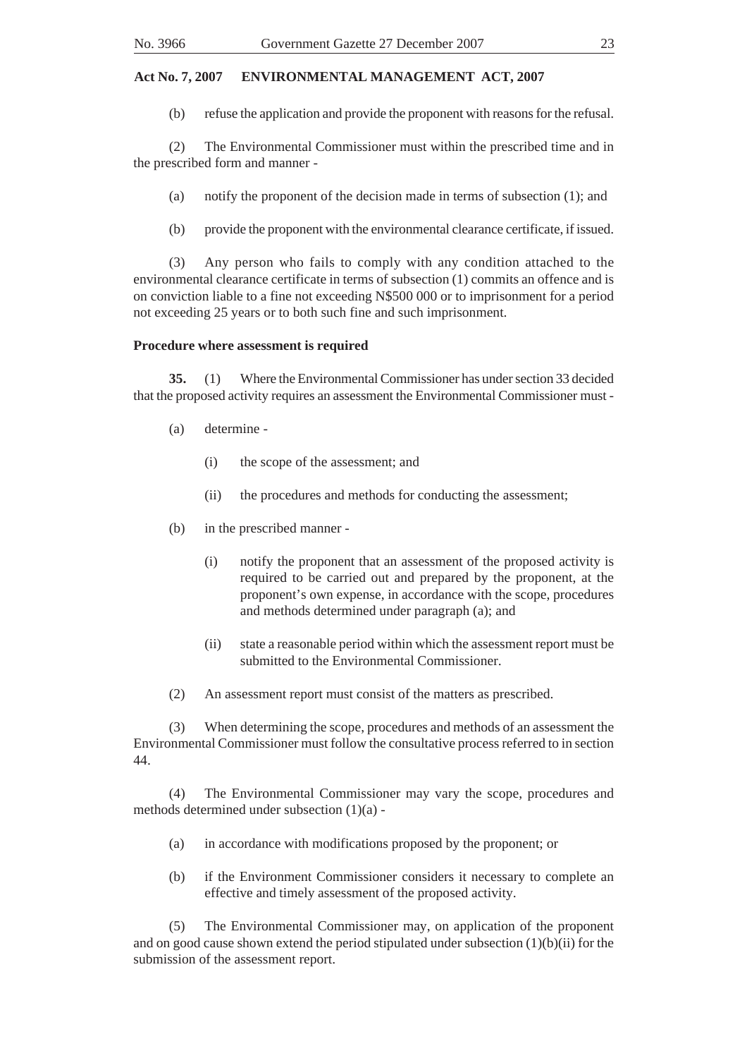(b) refuse the application and provide the proponent with reasons for the refusal.

(2) The Environmental Commissioner must within the prescribed time and in the prescribed form and manner -

(a) notify the proponent of the decision made in terms of subsection (1); and

(b) provide the proponent with the environmental clearance certificate, if issued.

(3) Any person who fails to comply with any condition attached to the environmental clearance certificate in terms of subsection (1) commits an offence and is on conviction liable to a fine not exceeding N\$500 000 or to imprisonment for a period not exceeding 25 years or to both such fine and such imprisonment.

#### **Procedure where assessment is required**

**35.** (1) Where the Environmental Commissioner has under section 33 decided that the proposed activity requires an assessment the Environmental Commissioner must -

- (a) determine
	- (i) the scope of the assessment; and
	- (ii) the procedures and methods for conducting the assessment;
- (b) in the prescribed manner
	- (i) notify the proponent that an assessment of the proposed activity is required to be carried out and prepared by the proponent, at the proponent's own expense, in accordance with the scope, procedures and methods determined under paragraph (a); and
	- (ii) state a reasonable period within which the assessment report must be submitted to the Environmental Commissioner.
- (2) An assessment report must consist of the matters as prescribed.

(3) When determining the scope, procedures and methods of an assessment the Environmental Commissioner must follow the consultative process referred to in section 44.

(4) The Environmental Commissioner may vary the scope, procedures and methods determined under subsection (1)(a) -

- (a) in accordance with modifications proposed by the proponent; or
- (b) if the Environment Commissioner considers it necessary to complete an effective and timely assessment of the proposed activity.

(5) The Environmental Commissioner may, on application of the proponent and on good cause shown extend the period stipulated under subsection (1)(b)(ii) for the submission of the assessment report.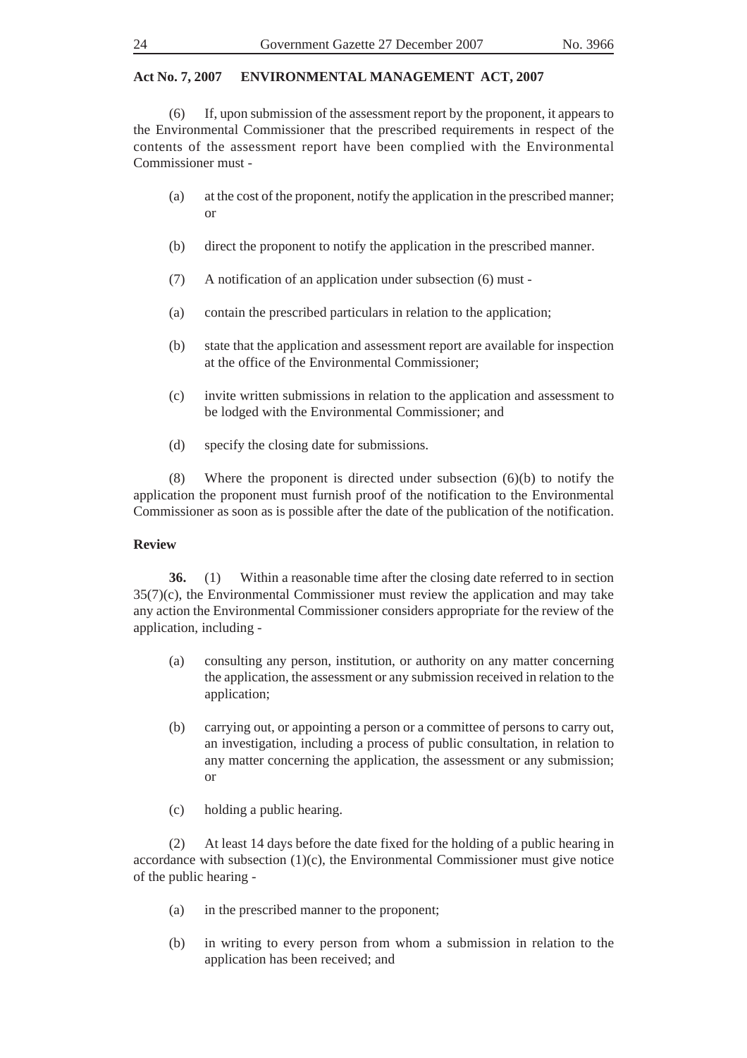(6) If, upon submission of the assessment report by the proponent, it appears to the Environmental Commissioner that the prescribed requirements in respect of the contents of the assessment report have been complied with the Environmental Commissioner must -

- (a) at the cost of the proponent, notify the application in the prescribed manner; or
- (b) direct the proponent to notify the application in the prescribed manner.
- (7) A notification of an application under subsection (6) must -
- (a) contain the prescribed particulars in relation to the application;
- (b) state that the application and assessment report are available for inspection at the office of the Environmental Commissioner;
- (c) invite written submissions in relation to the application and assessment to be lodged with the Environmental Commissioner; and
- (d) specify the closing date for submissions.

(8) Where the proponent is directed under subsection (6)(b) to notify the application the proponent must furnish proof of the notification to the Environmental Commissioner as soon as is possible after the date of the publication of the notification.

# **Review**

**36.** (1) Within a reasonable time after the closing date referred to in section 35(7)(c), the Environmental Commissioner must review the application and may take any action the Environmental Commissioner considers appropriate for the review of the application, including -

- (a) consulting any person, institution, or authority on any matter concerning the application, the assessment or any submission received in relation to the application;
- (b) carrying out, or appointing a person or a committee of persons to carry out, an investigation, including a process of public consultation, in relation to any matter concerning the application, the assessment or any submission; or
- (c) holding a public hearing.

(2) At least 14 days before the date fixed for the holding of a public hearing in accordance with subsection (1)(c), the Environmental Commissioner must give notice of the public hearing -

- (a) in the prescribed manner to the proponent;
- (b) in writing to every person from whom a submission in relation to the application has been received; and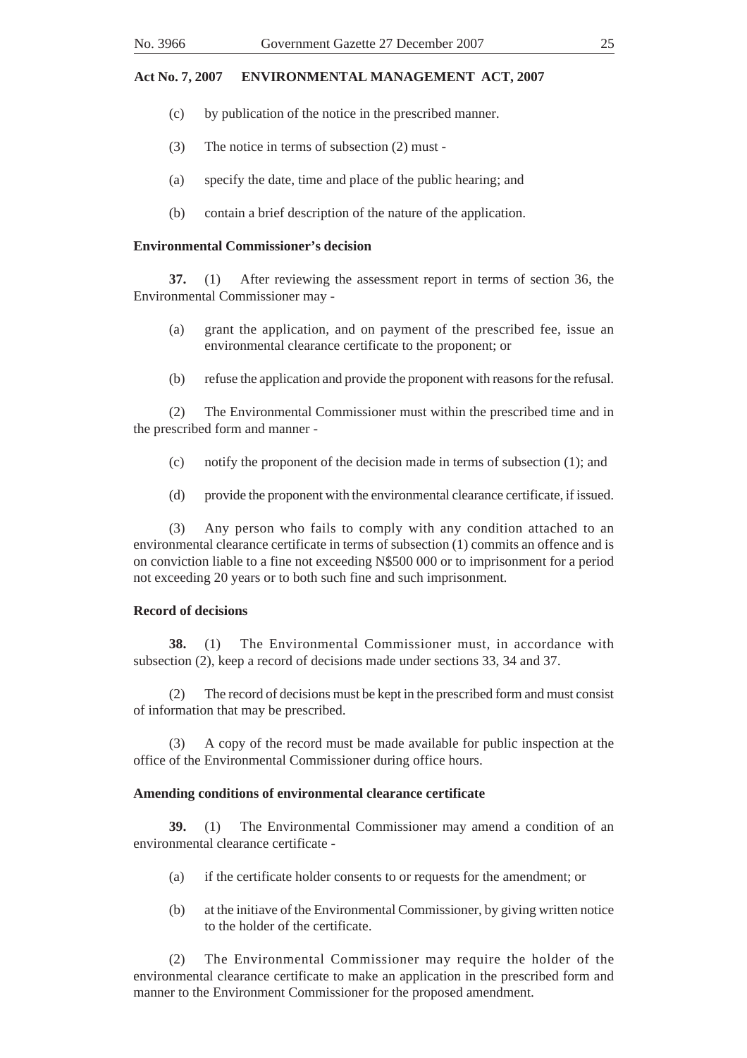- (c) by publication of the notice in the prescribed manner.
- (3) The notice in terms of subsection (2) must -
- (a) specify the date, time and place of the public hearing; and
- (b) contain a brief description of the nature of the application.

#### **Environmental Commissioner's decision**

**37.** (1) After reviewing the assessment report in terms of section 36, the Environmental Commissioner may -

- (a) grant the application, and on payment of the prescribed fee, issue an environmental clearance certificate to the proponent; or
- (b) refuse the application and provide the proponent with reasons for the refusal.

(2) The Environmental Commissioner must within the prescribed time and in the prescribed form and manner -

- (c) notify the proponent of the decision made in terms of subsection (1); and
- (d) provide the proponent with the environmental clearance certificate, if issued.

(3) Any person who fails to comply with any condition attached to an environmental clearance certificate in terms of subsection (1) commits an offence and is on conviction liable to a fine not exceeding N\$500 000 or to imprisonment for a period not exceeding 20 years or to both such fine and such imprisonment.

#### **Record of decisions**

**38.** (1) The Environmental Commissioner must, in accordance with subsection (2), keep a record of decisions made under sections 33, 34 and 37.

(2) The record of decisions must be kept in the prescribed form and must consist of information that may be prescribed.

(3) A copy of the record must be made available for public inspection at the office of the Environmental Commissioner during office hours.

#### **Amending conditions of environmental clearance certificate**

**39.** (1) The Environmental Commissioner may amend a condition of an environmental clearance certificate -

- (a) if the certificate holder consents to or requests for the amendment; or
- (b) at the initiave of the Environmental Commissioner, by giving written notice to the holder of the certificate.

(2) The Environmental Commissioner may require the holder of the environmental clearance certificate to make an application in the prescribed form and manner to the Environment Commissioner for the proposed amendment.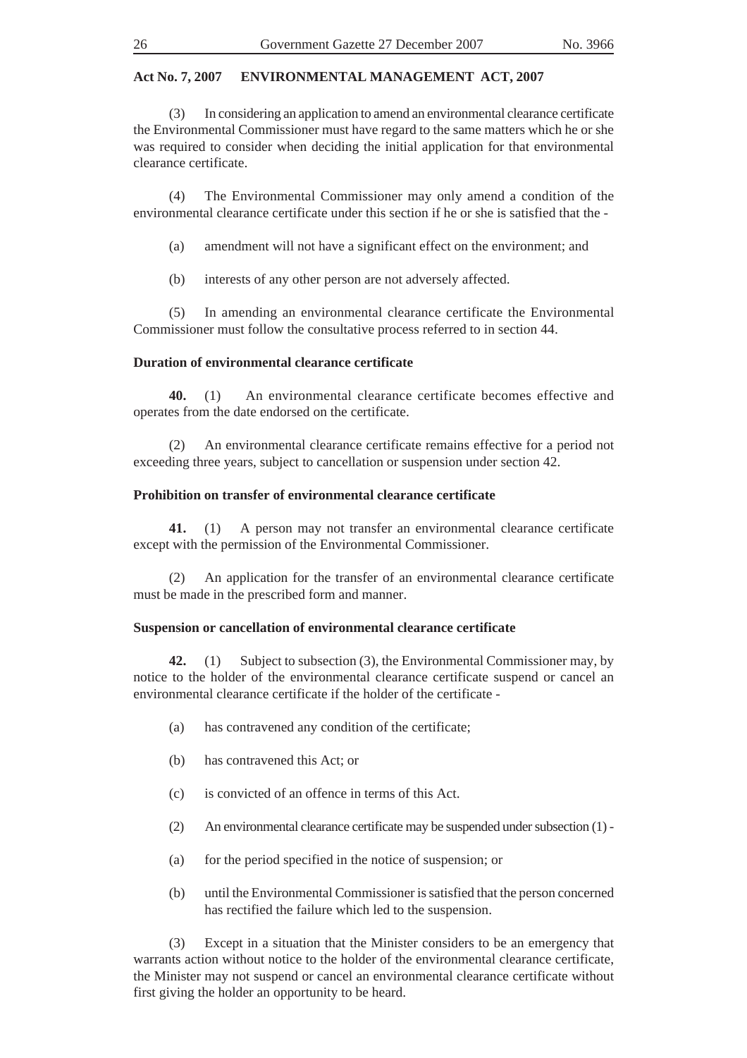(3) In considering an application to amend an environmental clearance certificate the Environmental Commissioner must have regard to the same matters which he or she was required to consider when deciding the initial application for that environmental clearance certificate.

(4) The Environmental Commissioner may only amend a condition of the environmental clearance certificate under this section if he or she is satisfied that the -

(a) amendment will not have a significant effect on the environment; and

(b) interests of any other person are not adversely affected.

(5) In amending an environmental clearance certificate the Environmental Commissioner must follow the consultative process referred to in section 44.

#### **Duration of environmental clearance certificate**

**40.** (1) An environmental clearance certificate becomes effective and operates from the date endorsed on the certificate.

(2) An environmental clearance certificate remains effective for a period not exceeding three years, subject to cancellation or suspension under section 42.

#### **Prohibition on transfer of environmental clearance certificate**

**41.** (1) A person may not transfer an environmental clearance certificate except with the permission of the Environmental Commissioner.

(2) An application for the transfer of an environmental clearance certificate must be made in the prescribed form and manner.

#### **Suspension or cancellation of environmental clearance certificate**

**42.** (1) Subject to subsection (3), the Environmental Commissioner may, by notice to the holder of the environmental clearance certificate suspend or cancel an environmental clearance certificate if the holder of the certificate -

- (a) has contravened any condition of the certificate;
- (b) has contravened this Act; or
- (c) is convicted of an offence in terms of this Act.
- (2) An environmental clearance certificate may be suspended under subsection (1) -
- (a) for the period specified in the notice of suspension; or
- (b) until the Environmental Commissioner is satisfied that the person concerned has rectified the failure which led to the suspension.

(3) Except in a situation that the Minister considers to be an emergency that warrants action without notice to the holder of the environmental clearance certificate, the Minister may not suspend or cancel an environmental clearance certificate without first giving the holder an opportunity to be heard.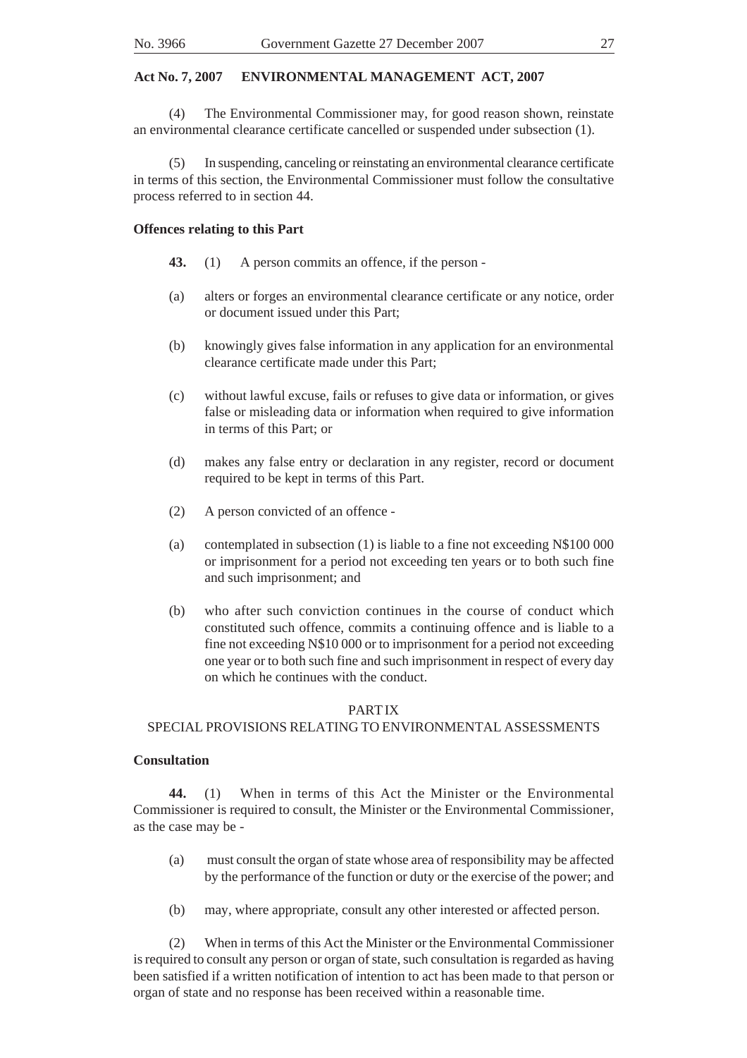(4) The Environmental Commissioner may, for good reason shown, reinstate an environmental clearance certificate cancelled or suspended under subsection (1).

In suspending, canceling or reinstating an environmental clearance certificate in terms of this section, the Environmental Commissioner must follow the consultative process referred to in section 44.

#### **Offences relating to this Part**

- **43.** (1) A person commits an offence, if the person -
- (a) alters or forges an environmental clearance certificate or any notice, order or document issued under this Part;
- (b) knowingly gives false information in any application for an environmental clearance certificate made under this Part;
- (c) without lawful excuse, fails or refuses to give data or information, or gives false or misleading data or information when required to give information in terms of this Part; or
- (d) makes any false entry or declaration in any register, record or document required to be kept in terms of this Part.
- (2) A person convicted of an offence -
- (a) contemplated in subsection (1) is liable to a fine not exceeding N\$100 000 or imprisonment for a period not exceeding ten years or to both such fine and such imprisonment; and
- (b) who after such conviction continues in the course of conduct which constituted such offence, commits a continuing offence and is liable to a fine not exceeding N\$10 000 or to imprisonment for a period not exceeding one year or to both such fine and such imprisonment in respect of every day on which he continues with the conduct.

#### PART IX

#### SPECIAL PROVISIONS RELATING TO ENVIRONMENTAL ASSESSMENTS

#### **Consultation**

**44.** (1) When in terms of this Act the Minister or the Environmental Commissioner is required to consult, the Minister or the Environmental Commissioner, as the case may be -

- (a) must consult the organ of state whose area of responsibility may be affected by the performance of the function or duty or the exercise of the power; and
- (b) may, where appropriate, consult any other interested or affected person.

(2) When in terms of this Act the Minister or the Environmental Commissioner is required to consult any person or organ of state, such consultation is regarded as having been satisfied if a written notification of intention to act has been made to that person or organ of state and no response has been received within a reasonable time.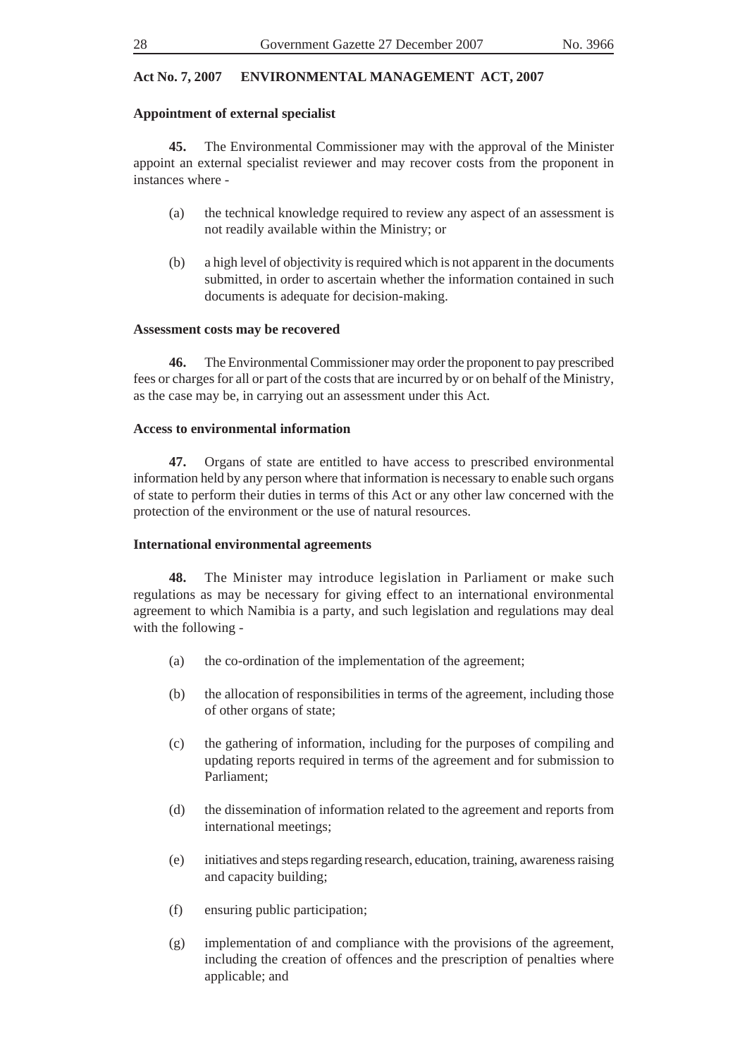# **Appointment of external specialist**

**45.** The Environmental Commissioner may with the approval of the Minister appoint an external specialist reviewer and may recover costs from the proponent in instances where -

- (a) the technical knowledge required to review any aspect of an assessment is not readily available within the Ministry; or
- (b) a high level of objectivity is required which is not apparent in the documents submitted, in order to ascertain whether the information contained in such documents is adequate for decision-making.

### **Assessment costs may be recovered**

**46.** The Environmental Commissioner may order the proponent to pay prescribed fees or charges for all or part of the costs that are incurred by or on behalf of the Ministry, as the case may be, in carrying out an assessment under this Act.

### **Access to environmental information**

**47.** Organs of state are entitled to have access to prescribed environmental information held by any person where that information is necessary to enable such organs of state to perform their duties in terms of this Act or any other law concerned with the protection of the environment or the use of natural resources.

#### **International environmental agreements**

**48.** The Minister may introduce legislation in Parliament or make such regulations as may be necessary for giving effect to an international environmental agreement to which Namibia is a party, and such legislation and regulations may deal with the following -

- (a) the co-ordination of the implementation of the agreement;
- (b) the allocation of responsibilities in terms of the agreement, including those of other organs of state;
- (c) the gathering of information, including for the purposes of compiling and updating reports required in terms of the agreement and for submission to Parliament;
- (d) the dissemination of information related to the agreement and reports from international meetings;
- (e) initiatives and steps regarding research, education, training, awareness raising and capacity building;
- (f) ensuring public participation;
- (g) implementation of and compliance with the provisions of the agreement, including the creation of offences and the prescription of penalties where applicable; and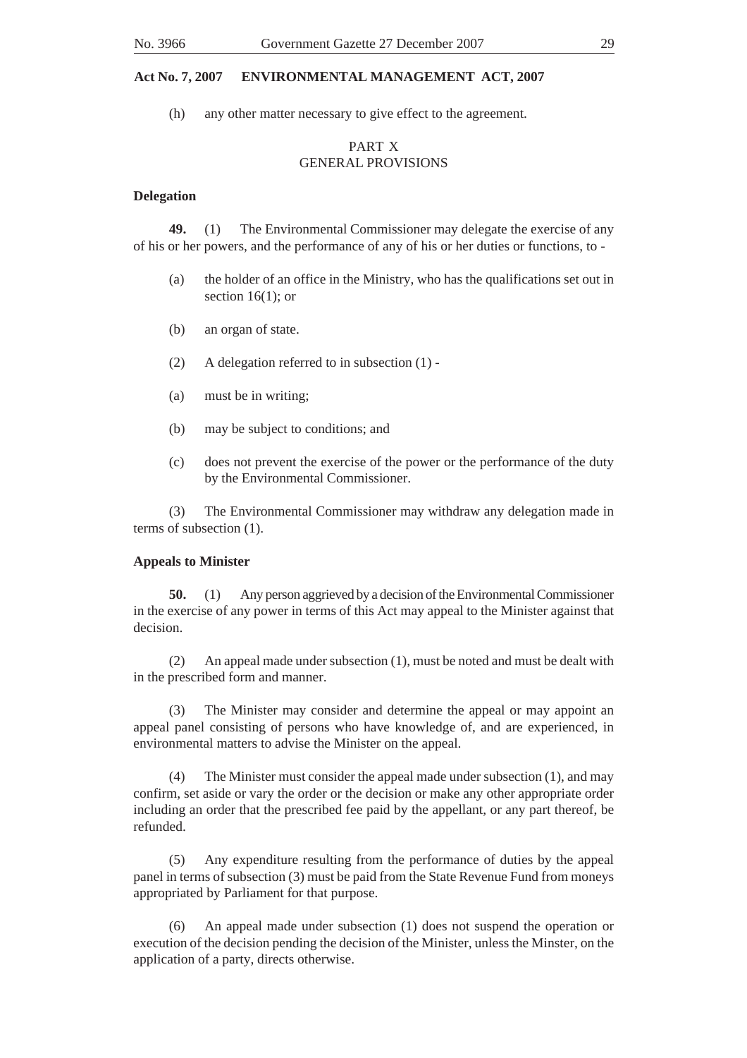(h) any other matter necessary to give effect to the agreement.

# PART X GENERAL PROVISIONS

#### **Delegation**

**49.** (1) The Environmental Commissioner may delegate the exercise of any of his or her powers, and the performance of any of his or her duties or functions, to -

- (a) the holder of an office in the Ministry, who has the qualifications set out in section 16(1); or
- (b) an organ of state.
- (2) A delegation referred to in subsection (1) -
- (a) must be in writing;
- (b) may be subject to conditions; and
- (c) does not prevent the exercise of the power or the performance of the duty by the Environmental Commissioner.

(3) The Environmental Commissioner may withdraw any delegation made in terms of subsection (1).

#### **Appeals to Minister**

**50.** (1) Any person aggrieved by a decision of the Environmental Commissioner in the exercise of any power in terms of this Act may appeal to the Minister against that decision.

(2) An appeal made under subsection (1), must be noted and must be dealt with in the prescribed form and manner.

(3) The Minister may consider and determine the appeal or may appoint an appeal panel consisting of persons who have knowledge of, and are experienced, in environmental matters to advise the Minister on the appeal.

(4) The Minister must consider the appeal made under subsection (1), and may confirm, set aside or vary the order or the decision or make any other appropriate order including an order that the prescribed fee paid by the appellant, or any part thereof, be refunded.

(5) Any expenditure resulting from the performance of duties by the appeal panel in terms of subsection (3) must be paid from the State Revenue Fund from moneys appropriated by Parliament for that purpose.

(6) An appeal made under subsection (1) does not suspend the operation or execution of the decision pending the decision of the Minister, unless the Minster, on the application of a party, directs otherwise.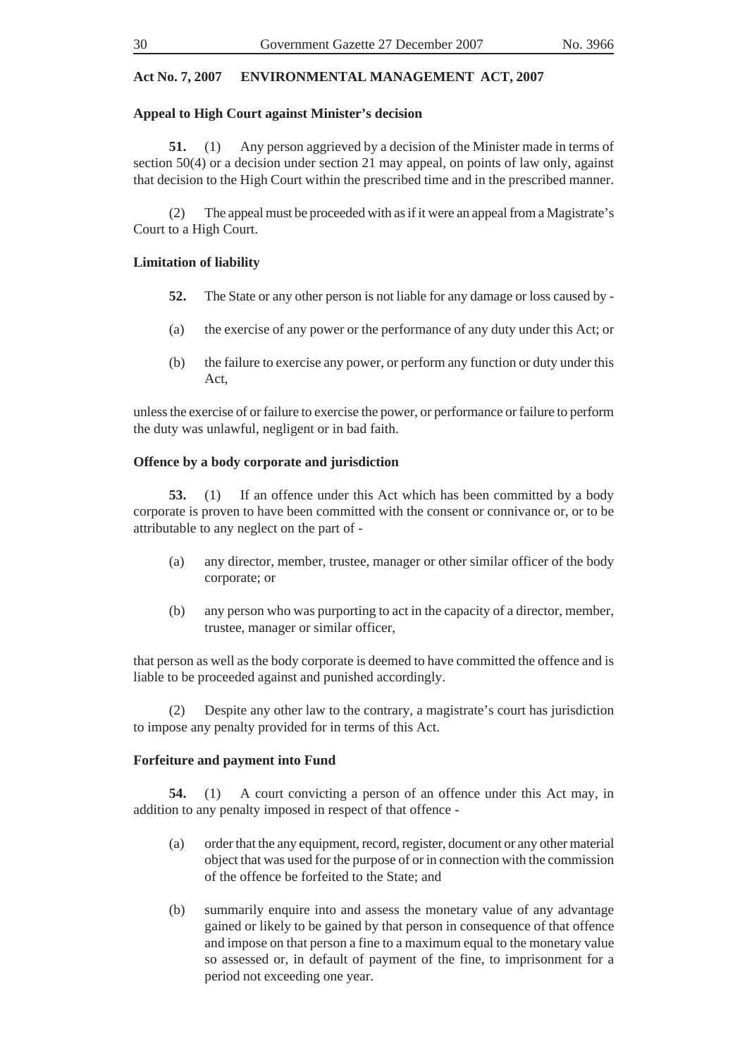# **Appeal to High Court against Minister's decision**

**51.** (1) Any person aggrieved by a decision of the Minister made in terms of section 50(4) or a decision under section 21 may appeal, on points of law only, against that decision to the High Court within the prescribed time and in the prescribed manner.

(2) The appeal must be proceeded with as if it were an appeal from a Magistrate's Court to a High Court.

# **Limitation of liability**

- **52.** The State or any other person is not liable for any damage or loss caused by -
- (a) the exercise of any power or the performance of any duty under this Act; or
- (b) the failure to exercise any power, or perform any function or duty under this Act,

unless the exercise of or failure to exercise the power, or performance or failure to perform the duty was unlawful, negligent or in bad faith.

# **Offence by a body corporate and jurisdiction**

**53.** (1) If an offence under this Act which has been committed by a body corporate is proven to have been committed with the consent or connivance or, or to be attributable to any neglect on the part of -

- (a) any director, member, trustee, manager or other similar officer of the body corporate; or
- (b) any person who was purporting to act in the capacity of a director, member, trustee, manager or similar officer,

that person as well as the body corporate is deemed to have committed the offence and is liable to be proceeded against and punished accordingly.

(2) Despite any other law to the contrary, a magistrate's court has jurisdiction to impose any penalty provided for in terms of this Act.

# **Forfeiture and payment into Fund**

**54.** (1) A court convicting a person of an offence under this Act may, in addition to any penalty imposed in respect of that offence -

- (a) order that the any equipment, record, register, document or any other material object that was used for the purpose of or in connection with the commission of the offence be forfeited to the State; and
- (b) summarily enquire into and assess the monetary value of any advantage gained or likely to be gained by that person in consequence of that offence and impose on that person a fine to a maximum equal to the monetary value so assessed or, in default of payment of the fine, to imprisonment for a period not exceeding one year.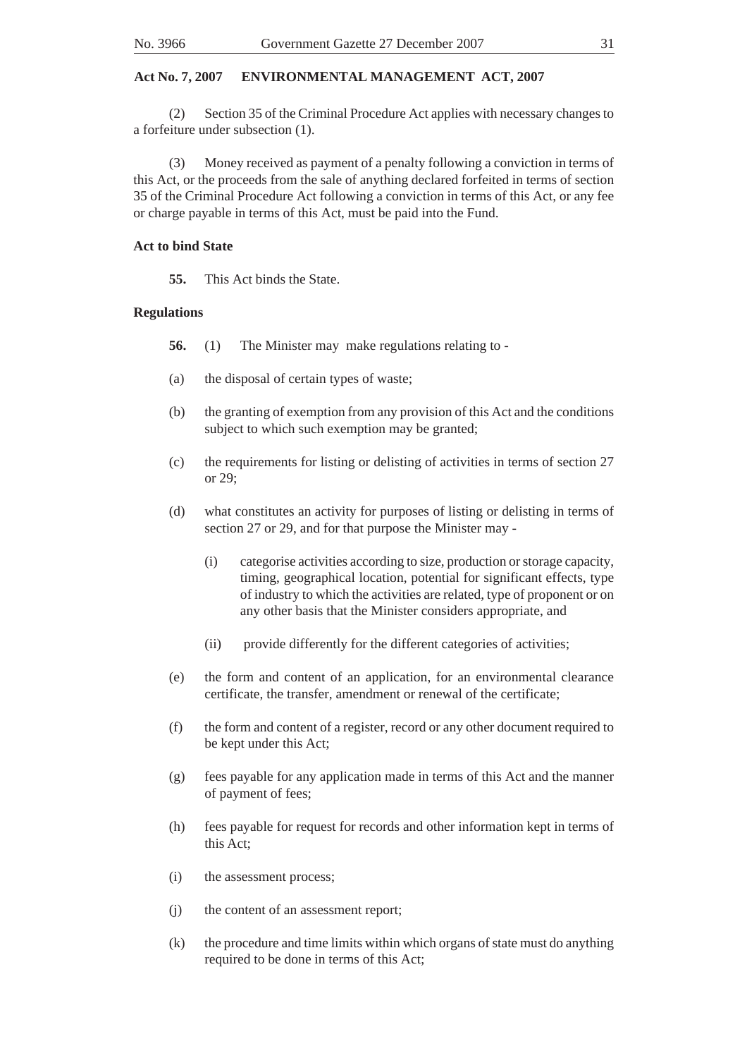(2) Section 35 of the Criminal Procedure Act applies with necessary changes to a forfeiture under subsection (1).

(3) Money received as payment of a penalty following a conviction in terms of this Act, or the proceeds from the sale of anything declared forfeited in terms of section 35 of the Criminal Procedure Act following a conviction in terms of this Act, or any fee or charge payable in terms of this Act, must be paid into the Fund.

### **Act to bind State**

**55.** This Act binds the State.

### **Regulations**

- **56.** (1) The Minister may make regulations relating to -
- (a) the disposal of certain types of waste;
- (b) the granting of exemption from any provision of this Act and the conditions subject to which such exemption may be granted;
- (c) the requirements for listing or delisting of activities in terms of section 27 or 29;
- (d) what constitutes an activity for purposes of listing or delisting in terms of section 27 or 29, and for that purpose the Minister may -
	- (i) categorise activities according to size, production or storage capacity, timing, geographical location, potential for significant effects, type of industry to which the activities are related, type of proponent or on any other basis that the Minister considers appropriate, and
	- (ii) provide differently for the different categories of activities;
- (e) the form and content of an application, for an environmental clearance certificate, the transfer, amendment or renewal of the certificate;
- (f) the form and content of a register, record or any other document required to be kept under this Act;
- (g) fees payable for any application made in terms of this Act and the manner of payment of fees;
- (h) fees payable for request for records and other information kept in terms of this Act;
- (i) the assessment process;
- (j) the content of an assessment report;
- (k) the procedure and time limits within which organs of state must do anything required to be done in terms of this Act;